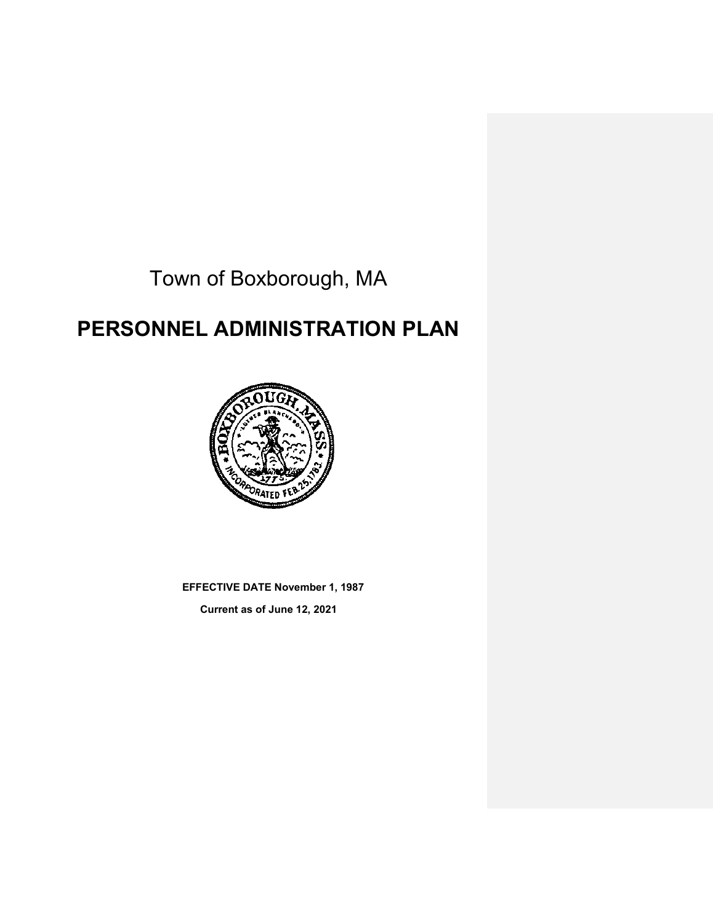Town of Boxborough, MA

# **PERSONNEL ADMINISTRATION PLAN**



**EFFECTIVE DATE November 1, 1987**

**Current as of June 12, 2021**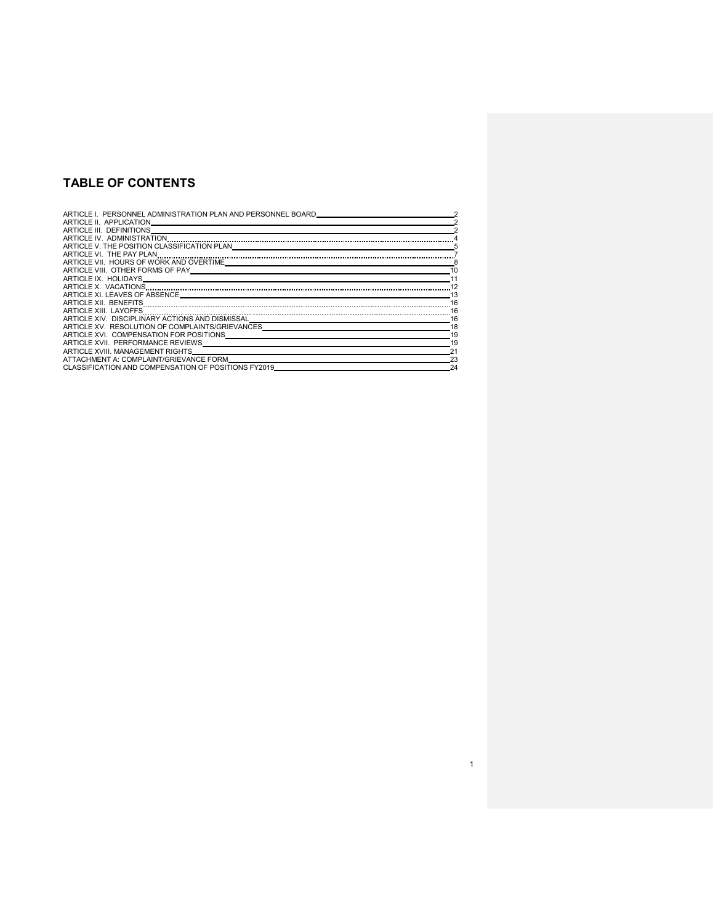## **TABLE OF CONTENTS**

| ARTICLE I. PERSONNEL ADMINISTRATION PLAN AND PERSONNEL BOARD                                                                                                                                                                   |    |
|--------------------------------------------------------------------------------------------------------------------------------------------------------------------------------------------------------------------------------|----|
| ARTICLE II. APPLICATION                                                                                                                                                                                                        |    |
| ARTICLE III. DEFINITIONS                                                                                                                                                                                                       |    |
| ARTICLE IV. ADMINISTRATION                                                                                                                                                                                                     |    |
|                                                                                                                                                                                                                                |    |
|                                                                                                                                                                                                                                |    |
| ARTICLE VII. HOURS OF WORK AND OVERTIME. THE STATE RESERVED ON A STATE OF STATE STATE OF STATE STATE STATE OF STATE STATE STATE STATE STATE STATE STATE STATE STATE STATE STATE STATE STATE STATE STATE STATE STATE STATE STAT |    |
|                                                                                                                                                                                                                                | 10 |
|                                                                                                                                                                                                                                |    |
| ARTICLE X. VACATIONS                                                                                                                                                                                                           |    |
|                                                                                                                                                                                                                                | 13 |
|                                                                                                                                                                                                                                | 16 |
| ARTICLE XIII. LAYOFFS                                                                                                                                                                                                          | 16 |
| ARTICLE XIV. DISCIPLINARY ACTIONS AND DISMISSAL                                                                                                                                                                                | 16 |
| ARTICLE XV. RESOLUTION OF COMPLAINTS/GRIEVANCES                                                                                                                                                                                | 18 |
| ARTICLE XVI. COMPENSATION FOR POSITIONS                                                                                                                                                                                        | 19 |
| ARTICLE XVII. PERFORMANCE REVIEWS                                                                                                                                                                                              | 19 |
| ARTICLE XVIII. MANAGEMENT RIGHTS                                                                                                                                                                                               |    |
| ATTACHMENT A: COMPLAINT/GRIEVANCE FORM                                                                                                                                                                                         | 23 |
| CLASSIFICATION AND COMPENSATION OF POSITIONS FY2019                                                                                                                                                                            | 24 |

1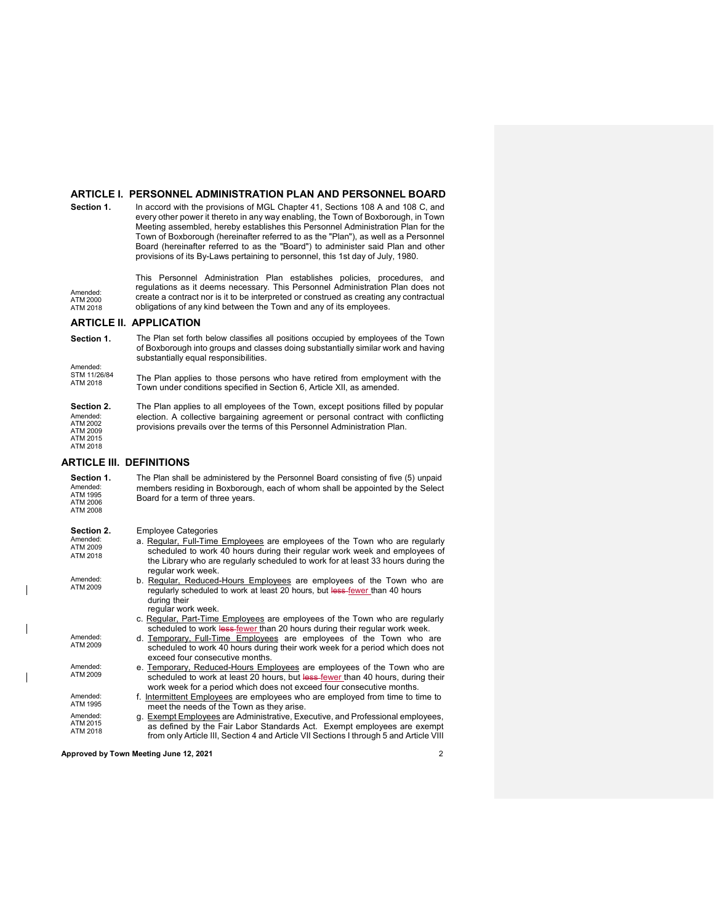#### **ARTICLE I. PERSONNEL ADMINISTRATION PLAN AND PERSONNEL BOARD**

**Section 1.** In accord with the provisions of MGL Chapter 41, Sections 108 A and 108 C, and every other power it thereto in any way enabling, the Town of Boxborough, in Town Meeting assembled, hereby establishes this Personnel Administration Plan for the Town of Boxborough (hereinafter referred to as the "Plan"), as well as a Personnel Board (hereinafter referred to as the "Board") to administer said Plan and other provisions of its By-Laws pertaining to personnel, this 1st day of July, 1980.

Amended: ATM 2000 ATM 2018 This Personnel Administration Plan establishes policies, procedures, and regulations as it deems necessary. This Personnel Administration Plan does not create a contract nor is it to be interpreted or construed as creating any contractual obligations of any kind between the Town and any of its employees.

#### **ARTICLE II. APPLICATION**

| Section 1.<br>Amended:                                                 | The Plan set forth below classifies all positions occupied by employees of the Town<br>of Boxborough into groups and classes doing substantially similar work and having<br>substantially equal responsibilities.                                                         |
|------------------------------------------------------------------------|---------------------------------------------------------------------------------------------------------------------------------------------------------------------------------------------------------------------------------------------------------------------------|
| STM 11/26/84<br>ATM 2018                                               | The Plan applies to those persons who have retired from employment with the<br>Town under conditions specified in Section 6, Article XII, as amended.                                                                                                                     |
| Section 2.<br>Amended:<br>ATM 2002<br>ATM 2009<br>ATM 2015<br>ATM 2018 | The Plan applies to all employees of the Town, except positions filled by popular<br>election. A collective bargaining agreement or personal contract with conflicting<br>provisions prevails over the terms of this Personnel Administration Plan.                       |
|                                                                        | <b>ARTICLE III. DEFINITIONS</b>                                                                                                                                                                                                                                           |
| Section 1.<br>Amended:<br>ATM 1995<br>ATM 2006<br><b>ATM 2008</b>      | The Plan shall be administered by the Personnel Board consisting of five (5) unpaid<br>members residing in Boxborough, each of whom shall be appointed by the Select<br>Board for a term of three years.                                                                  |
| Section 2.                                                             | <b>Employee Categories</b>                                                                                                                                                                                                                                                |
| Amended:<br>ATM 2009<br>ATM 2018                                       | a. Regular, Full-Time Employees are employees of the Town who are regularly<br>scheduled to work 40 hours during their regular work week and employees of<br>the Library who are regularly scheduled to work for at least 33 hours during the<br>regular work week.       |
| Amended:<br>ATM 2009                                                   | b. Regular, Reduced-Hours Employees are employees of the Town who are<br>regularly scheduled to work at least 20 hours, but less-fewer than 40 hours<br>during their<br>regular work week.<br>c. Regular, Part-Time Employees are employees of the Town who are regularly |
|                                                                        | scheduled to work less fewer than 20 hours during their regular work week.                                                                                                                                                                                                |
| Amended:<br>ATM 2009                                                   | d. Temporary, Full-Time Employees are employees of the Town who are<br>scheduled to work 40 hours during their work week for a period which does not<br>exceed four consecutive months.                                                                                   |
| Amended:<br>ATM 2009                                                   | e. Temporary, Reduced-Hours Employees are employees of the Town who are<br>scheduled to work at least 20 hours, but less-fewer than 40 hours, during their<br>work week for a period which does not exceed four consecutive months.                                       |
| Amended:<br>ATM 1995                                                   | f. Intermittent Employees are employees who are employed from time to time to<br>meet the needs of the Town as they arise.                                                                                                                                                |
| Amended:<br>ATM 2015<br>ATM 2018                                       | g. Exempt Employees are Administrative, Executive, and Professional employees,<br>as defined by the Fair Labor Standards Act. Exempt employees are exempt<br>from only Article III, Section 4 and Article VII Sections I through 5 and Article VIII                       |

**Approved by Town Meeting June 12, 2021** 2

 $\overline{\phantom{a}}$ 

 $\overline{\phantom{a}}$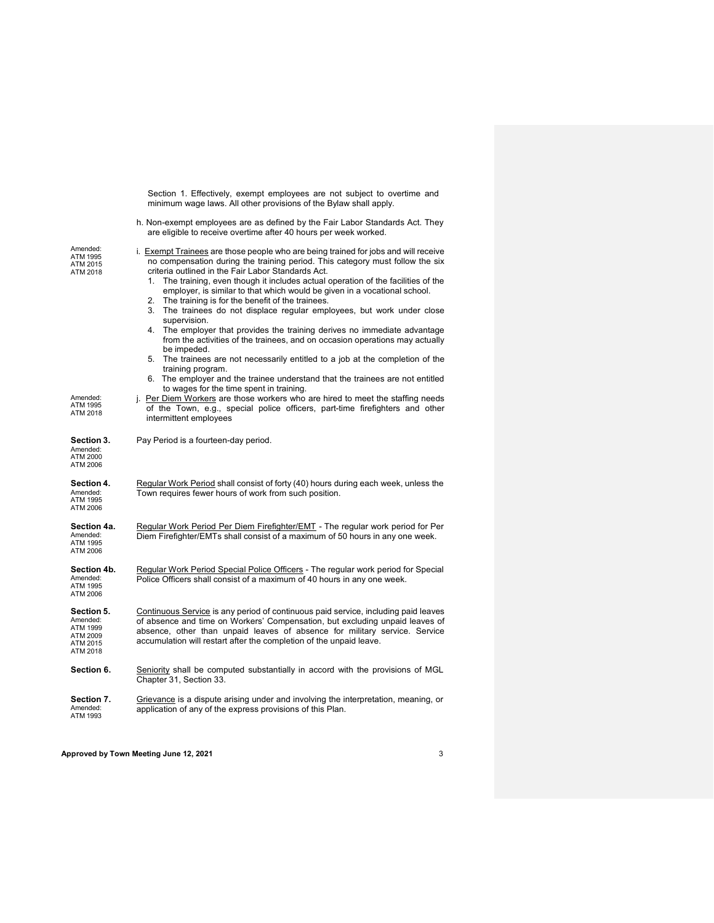|                                                                        | minimum wage laws. All other provisions of the Bylaw shall apply.                                                                                                                                                                                                                                                                                                                                                                                                                                                                                                                                                                                                                                                                                                                                                                                                                                                            |
|------------------------------------------------------------------------|------------------------------------------------------------------------------------------------------------------------------------------------------------------------------------------------------------------------------------------------------------------------------------------------------------------------------------------------------------------------------------------------------------------------------------------------------------------------------------------------------------------------------------------------------------------------------------------------------------------------------------------------------------------------------------------------------------------------------------------------------------------------------------------------------------------------------------------------------------------------------------------------------------------------------|
|                                                                        | h. Non-exempt employees are as defined by the Fair Labor Standards Act. They<br>are eligible to receive overtime after 40 hours per week worked.                                                                                                                                                                                                                                                                                                                                                                                                                                                                                                                                                                                                                                                                                                                                                                             |
| Amended:<br>ATM 1995<br>ATM 2015<br>ATM 2018                           | i. Exempt Trainees are those people who are being trained for jobs and will receive<br>no compensation during the training period. This category must follow the six<br>criteria outlined in the Fair Labor Standards Act.<br>The training, even though it includes actual operation of the facilities of the<br>1.<br>employer, is similar to that which would be given in a vocational school.<br>2. The training is for the benefit of the trainees.<br>3.<br>The trainees do not displace regular employees, but work under close<br>supervision.<br>The employer that provides the training derives no immediate advantage<br>4.<br>from the activities of the trainees, and on occasion operations may actually<br>be impeded.<br>5. The trainees are not necessarily entitled to a job at the completion of the<br>training program.<br>6. The employer and the trainee understand that the trainees are not entitled |
| Amended:<br>ATM 1995<br>ATM 2018                                       | to wages for the time spent in training.<br>j. Per Diem Workers are those workers who are hired to meet the staffing needs<br>of the Town, e.g., special police officers, part-time firefighters and other<br>intermittent employees                                                                                                                                                                                                                                                                                                                                                                                                                                                                                                                                                                                                                                                                                         |
| Section 3.<br>Amended:<br>ATM 2000<br>ATM 2006                         | Pay Period is a fourteen-day period.                                                                                                                                                                                                                                                                                                                                                                                                                                                                                                                                                                                                                                                                                                                                                                                                                                                                                         |
| Section 4.<br>Amended:<br>ATM 1995<br>ATM 2006                         | Regular Work Period shall consist of forty (40) hours during each week, unless the<br>Town requires fewer hours of work from such position.                                                                                                                                                                                                                                                                                                                                                                                                                                                                                                                                                                                                                                                                                                                                                                                  |
| Section 4a.<br>Amended:<br>ATM 1995<br>ATM 2006                        | Regular Work Period Per Diem Firefighter/EMT - The regular work period for Per<br>Diem Firefighter/EMTs shall consist of a maximum of 50 hours in any one week.                                                                                                                                                                                                                                                                                                                                                                                                                                                                                                                                                                                                                                                                                                                                                              |
| Section 4b.<br>Amended:<br>ATM 1995<br>ATM 2006                        | Regular Work Period Special Police Officers - The regular work period for Special<br>Police Officers shall consist of a maximum of 40 hours in any one week.                                                                                                                                                                                                                                                                                                                                                                                                                                                                                                                                                                                                                                                                                                                                                                 |
| Section 5.<br>Amended:<br>ATM 1999<br>ATM 2009<br>ATM 2015<br>ATM 2018 | Continuous Service is any period of continuous paid service, including paid leaves<br>of absence and time on Workers' Compensation, but excluding unpaid leaves of<br>absence, other than unpaid leaves of absence for military service. Service<br>accumulation will restart after the completion of the unpaid leave.                                                                                                                                                                                                                                                                                                                                                                                                                                                                                                                                                                                                      |
| Section 6.                                                             | Seniority shall be computed substantially in accord with the provisions of MGL<br>Chapter 31, Section 33.                                                                                                                                                                                                                                                                                                                                                                                                                                                                                                                                                                                                                                                                                                                                                                                                                    |
| Section 7.<br>Amended:<br>ATM 1993                                     | Grievance is a dispute arising under and involving the interpretation, meaning, or<br>application of any of the express provisions of this Plan.                                                                                                                                                                                                                                                                                                                                                                                                                                                                                                                                                                                                                                                                                                                                                                             |

Section 1. Effectively, exempt employees are not subject to overtime and

**Approved by Town Meeting June 12, 2021** 3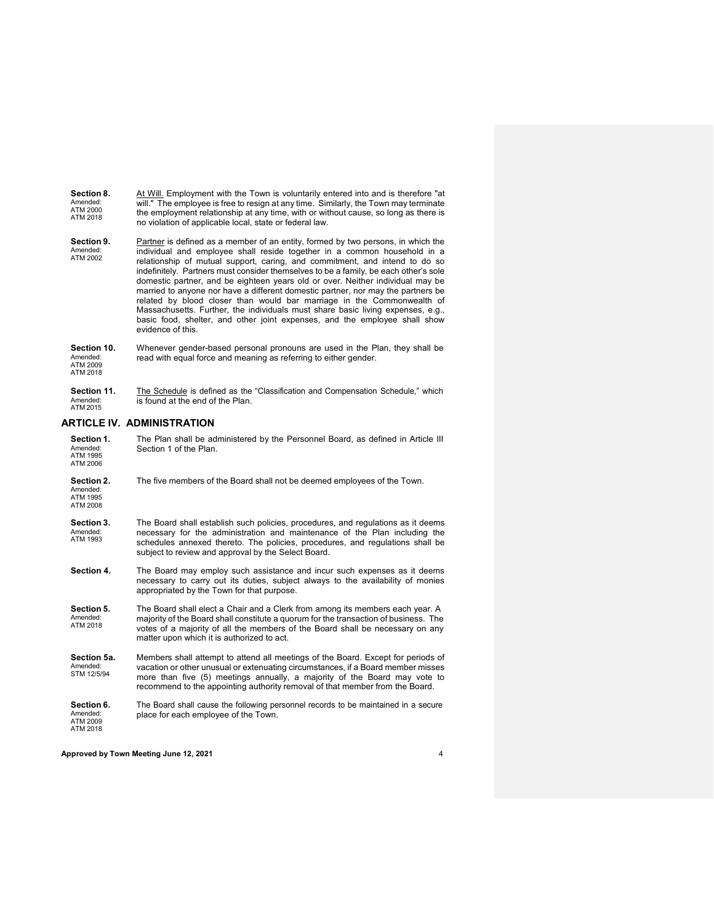**Section 8.** Amended: ATM 2000 ATM 2018 At Will. Employment with the Town is voluntarily entered into and is therefore "at will." The employee is free to resign at any time. Similarly, the Town may terminate the employment relationship at any time, with or without cause, so long as there is no violation of applicable local, state or federal law.

- **Section 9.** Amended: ATM 2002 Partner is defined as a member of an entity, formed by two persons, in which the individual and employee shall reside together in a common household in a relationship of mutual support, caring, and commitment, and intend to do so indefinitely. Partners must consider themselves to be a family, be each other's sole domestic partner, and be eighteen years old or over. Neither individual may be married to anyone nor have a different domestic partner, nor may the partners be related by blood closer than would bar marriage in the Commonwealth of Massachusetts. Further, the individuals must share basic living expenses, e.g., basic food, shelter, and other joint expenses, and the employee shall show evidence of this.
- **Section 10.** Amended: ATM 2009 ATM 2018 Whenever gender-based personal pronouns are used in the Plan, they shall be read with equal force and meaning as referring to either gender.
- 

**Section 11.** Amended: ATM 2015 The Schedule is defined as the "Classification and Compensation Schedule," which is found at the end of the Plan.

#### **ARTICLE IV. ADMINISTRATION**

| Section 1.<br>Amended:<br>ATM 1995<br>ATM 2006 | The Plan shall be administered by the Personnel Board, as defined in Article III<br>Section 1 of the Plan.                                                                                                                                                                                                                        |
|------------------------------------------------|-----------------------------------------------------------------------------------------------------------------------------------------------------------------------------------------------------------------------------------------------------------------------------------------------------------------------------------|
| Section 2.<br>Amended:<br>ATM 1995<br>ATM 2008 | The five members of the Board shall not be deemed employees of the Town.                                                                                                                                                                                                                                                          |
| Section 3.<br>Amended:<br>ATM 1993             | The Board shall establish such policies, procedures, and regulations as it deems<br>necessary for the administration and maintenance of the Plan including the<br>schedules annexed thereto. The policies, procedures, and regulations shall be<br>subject to review and approval by the Select Board.                            |
| Section 4.                                     | The Board may employ such assistance and incur such expenses as it deems<br>necessary to carry out its duties, subject always to the availability of monies<br>appropriated by the Town for that purpose.                                                                                                                         |
| Section 5.<br>Amended:<br>ATM 2018             | The Board shall elect a Chair and a Clerk from among its members each year. A<br>majority of the Board shall constitute a quorum for the transaction of business. The<br>votes of a majority of all the members of the Board shall be necessary on any<br>matter upon which it is authorized to act.                              |
| Section 5a.<br>Amended:<br>STM 12/5/94         | Members shall attempt to attend all meetings of the Board. Except for periods of<br>vacation or other unusual or extenuating circumstances, if a Board member misses<br>more than five (5) meetings annually, a majority of the Board may vote to<br>recommend to the appointing authority removal of that member from the Board. |
| Section 6.<br>Amended:<br>ATM 2009<br>ATM 2018 | The Board shall cause the following personnel records to be maintained in a secure<br>place for each employee of the Town.                                                                                                                                                                                                        |

**Approved by Town Meeting June 12, 2021** 4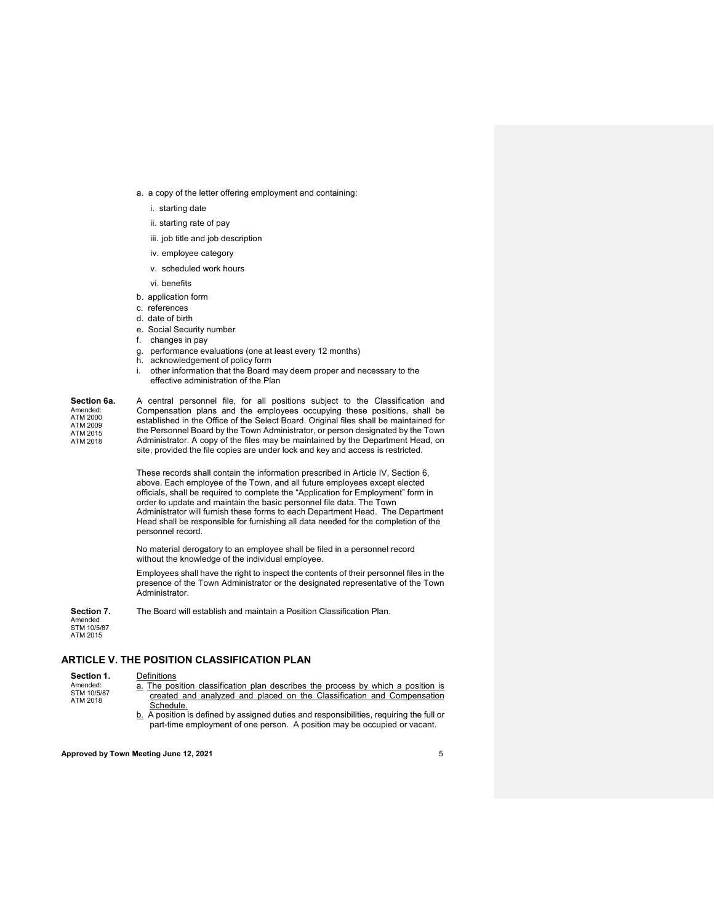- a. a copy of the letter offering employment and containing:
	- i. starting date
	- ii. starting rate of pay
	- iii. job title and job description
	- iv. employee category
	- v. scheduled work hours
	- vi. benefits
- b. application form
- c. references
- d. date of birth
- e. Social Security number
- f. changes in pay
- g. performance evaluations (one at least every 12 months)
- h. acknowledgement of policy form
- i. other information that the Board may deem proper and necessary to the effective administration of the Plan

#### **Section 6a.** Amended: ATM 2000 ATM 2009 ATM 2015

ATM 2018

A central personnel file, for all positions subject to the Classification and Compensation plans and the employees occupying these positions, shall be established in the Office of the Select Board. Original files shall be maintained for the Personnel Board by the Town Administrator, or person designated by the Town Administrator. A copy of the files may be maintained by the Department Head, on site, provided the file copies are under lock and key and access is restricted.

These records shall contain the information prescribed in Article IV, Section 6, above. Each employee of the Town, and all future employees except elected officials, shall be required to complete the "Application for Employment" form in order to update and maintain the basic personnel file data. The Town Administrator will furnish these forms to each Department Head. The Department Head shall be responsible for furnishing all data needed for the completion of the personnel record.

No material derogatory to an employee shall be filed in a personnel record without the knowledge of the individual employee.

Employees shall have the right to inspect the contents of their personnel files in the presence of the Town Administrator or the designated representative of the Town Administrator.

**Section 7.** The Board will establish and maintain a Position Classification Plan.

Amended STM 10/5/87 ATM 2015

ATM 2018

### **ARTICLE V. THE POSITION CLASSIFICATION PLAN**

#### **Section 1.** Amended: STM 10/5/87 **Definitions**

- a. The position classification plan describes the process by which a position is created and analyzed and placed on the Classification and Compensation Schedule.
	- b. A position is defined by assigned duties and responsibilities, requiring the full or part-time employment of one person. A position may be occupied or vacant.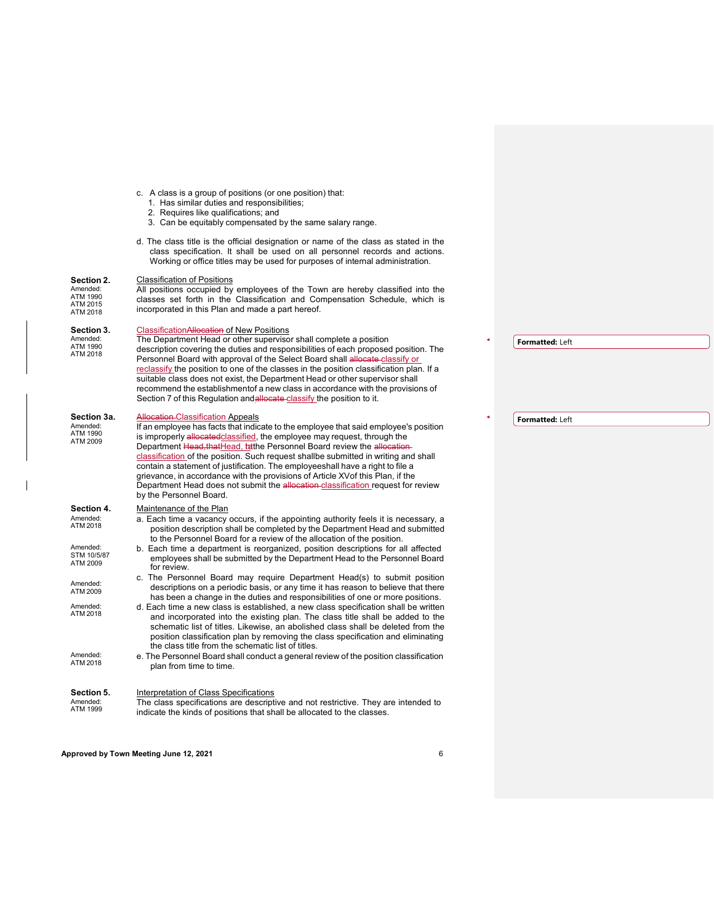|  |  |  |  |  | c. A class is a group of positions (or one position) that: |  |  |  |
|--|--|--|--|--|------------------------------------------------------------|--|--|--|
|--|--|--|--|--|------------------------------------------------------------|--|--|--|

- 1. Has similar duties and responsibilities;
- 2. Requires like qualifications; and
- 3. Can be equitably compensated by the same salary range.
- d. The class title is the official designation or name of the class as stated in the class specification. It shall be used on all personnel records and actions. Working or office titles may be used for purposes of internal administration.

#### **Section 2.** Classification of Positions

| JULIUII 4.<br>Amended:<br>ATM 1990<br>ATM 2015<br>ATM 2018 | <u>Classification of Fostitutis</u><br>All positions occupied by employees of the Town are hereby classified into the<br>classes set forth in the Classification and Compensation Schedule, which is<br>incorporated in this Plan and made a part hereof.                                                                                                                                                                                                                                                                                                                                                                                                            |
|------------------------------------------------------------|----------------------------------------------------------------------------------------------------------------------------------------------------------------------------------------------------------------------------------------------------------------------------------------------------------------------------------------------------------------------------------------------------------------------------------------------------------------------------------------------------------------------------------------------------------------------------------------------------------------------------------------------------------------------|
| Section 3.<br>Amended:<br>ATM 1990<br>ATM 2018             | ClassificationAllocation of New Positions<br>The Department Head or other supervisor shall complete a position<br>description covering the duties and responsibilities of each proposed position. The<br>Personnel Board with approval of the Select Board shall allocate-classify or<br>reclassify the position to one of the classes in the position classification plan. If a<br>suitable class does not exist, the Department Head or other supervisor shall<br>recommend the establishmentof a new class in accordance with the provisions of<br>Section 7 of this Regulation and allocate classify the position to it.                                         |
| Section 3a.<br>Amended:<br>ATM 1990<br>ATM 2009            | <b>Allocation-Classification Appeals</b><br>If an employee has facts that indicate to the employee that said employee's position<br>is improperly allocated classified, the employee may request, through the<br>Department Head, that Head, tathe Personnel Board review the allocation-<br>classification of the position. Such request shallbe submitted in writing and shall<br>contain a statement of justification. The employeeshall have a right to file a<br>grievance, in accordance with the provisions of Article XV of this Plan, if the<br>Department Head does not submit the allocation classification request for review<br>by the Personnel Board. |
| Section 4.<br>Amended:<br>ATM 2018                         | Maintenance of the Plan<br>a. Each time a vacancy occurs, if the appointing authority feels it is necessary, a<br>position description shall be completed by the Department Head and submitted<br>to the Personnel Board for a review of the allocation of the position.                                                                                                                                                                                                                                                                                                                                                                                             |
| Amended:<br>STM 10/5/87<br>ATM 2009                        | b. Each time a department is reorganized, position descriptions for all affected<br>employees shall be submitted by the Department Head to the Personnel Board<br>for review.                                                                                                                                                                                                                                                                                                                                                                                                                                                                                        |
| Amended:<br>ATM 2009                                       | c. The Personnel Board may require Department Head(s) to submit position<br>descriptions on a periodic basis, or any time it has reason to believe that there<br>has been a change in the duties and responsibilities of one or more positions.                                                                                                                                                                                                                                                                                                                                                                                                                      |
| Amended:<br>ATM 2018                                       | d. Each time a new class is established, a new class specification shall be written<br>and incorporated into the existing plan. The class title shall be added to the<br>schematic list of titles. Likewise, an abolished class shall be deleted from the<br>position classification plan by removing the class specification and eliminating<br>the class title from the schematic list of titles.                                                                                                                                                                                                                                                                  |
| Amended:<br>ATM 2018                                       | e. The Personnel Board shall conduct a general review of the position classification<br>plan from time to time.                                                                                                                                                                                                                                                                                                                                                                                                                                                                                                                                                      |
| Section 5.<br>Amended:<br>ATM 1999                         | Interpretation of Class Specifications<br>The class specifications are descriptive and not restrictive. They are intended to<br>indicate the kinds of positions that shall be allocated to the classes.                                                                                                                                                                                                                                                                                                                                                                                                                                                              |

### **Formatted:** Left

**Formatted:** Left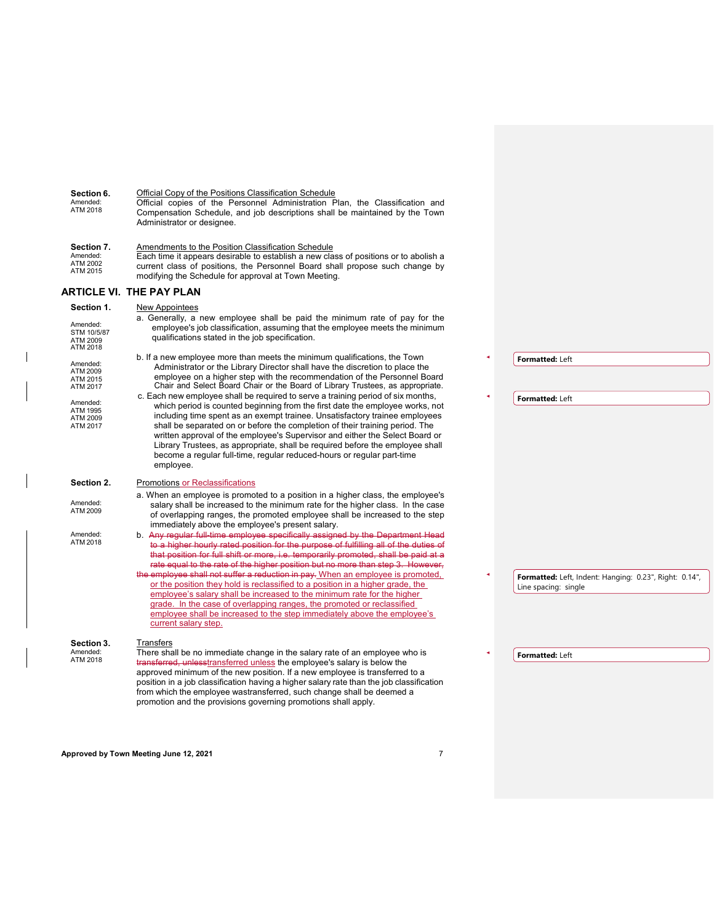Amended: ATM 2018 Official copies of the Personnel Administration Plan, the Classification and Compensation Schedule, and job descriptions shall be maintained by the Town Administrator or designee. **Section 7.** Amended: ATM 2002 ATM 2015 Amendments to the Position Classification Schedule Each time it appears desirable to establish a new class of positions or to abolish a current class of positions, the Personnel Board shall propose such change by modifying the Schedule for approval at Town Meeting. **ARTICLE VI. THE PAY PLAN Section 1.** New Appointees Amended: STM 10/5/87 ATM 2009 ATM 2018 a. Generally, a new employee shall be paid the minimum rate of pay for the employee's job classification, assuming that the employee meets the minimum qualifications stated in the job specification. Amended: ATM 2009 ATM 2015 ATM 2017 b. If a new employee more than meets the minimum qualifications, the Town Administrator or the Library Director shall have the discretion to place the employee on a higher step with the recommendation of the Personnel Board Chair and Select Board Chair or the Board of Library Trustees, as appropriate. Amended: ATM 1995 ATM 2009 ATM 2017 c. Each new employee shall be required to serve a training period of six months, which period is counted beginning from the first date the employee works, not including time spent as an exempt trainee. Unsatisfactory trainee employees shall be separated on or before the completion of their training period. The written approval of the employee's Supervisor and either the Select Board or Library Trustees, as appropriate, shall be required before the employee shall become a regular full-time, regular reduced-hours or regular part-time employee. **Section 2.** Promotions or Reclassifications Amended: ATM 2009 a. When an employee is promoted to a position in a higher class, the employee's salary shall be increased to the minimum rate for the higher class. In the case of overlapping ranges, the promoted employee shall be increased to the step

Official Copy of the Positions Classification Schedule

Amended:<br>ATM 2018 Amended: b. A<del>ny regular full-time employee specifically assigned by the Department Head</del><br>ATM 2018 t<del>o a higher hourly rated position for the purpose of fulfilling all of the duties of</del> that position for full shift or more, i.e. temporarily promoted, shall be paid at a rate equal to the rate of the higher position but no more than step 3. However, employee shall not suffer a reduction in pay. When an employee is promoted, or the position they hold is reclassified to a position in a higher grade, the employee's salary shall be increased to the minimum rate for the higher grade. In the case of overlapping ranges, the promoted or reclassified

#### **Section 3.** Amended: ATM 2018 **Transfers** There shall be no immediate change in the salary rate of an employee who is transferred, unlesstransferred unless the employee's salary is below the approved minimum of the new position. If a new employee is transferred to a position in a job classification having a higher salary rate than the job classification from which the employee wastransferred, such change shall be deemed a promotion and the provisions governing promotions shall apply.

**Section 6.**

**Formatted:** Left **Formatted:** Left **Formatted:** Left, Indent: Hanging: 0.23", Right: 0.14", Line spacing: single **Formatted:** Left

- immediately above the employee's present salary.
- 

employee shall be increased to the step immediately above the employee's current salary step.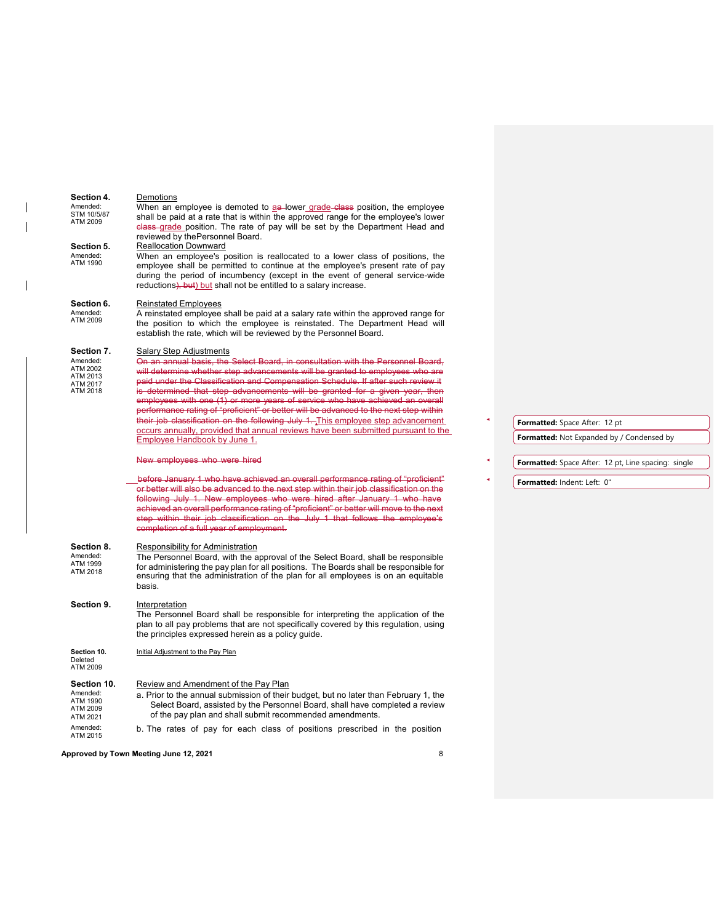#### **Section 4.** Amended: STM 10/5/87 ATM 2009 Demotions When an employee is demoted to aa lower grade class position, the employee shall be paid at a rate that is within the approved range for the employee's lower class grade position. The rate of pay will be set by the Department Head and reviewed by thePersonnel Board. **Section 5.** Amended: ATM 1990 Reallocation Downward When an employee's position is reallocated to a lower class of positions, the employee shall be permitted to continue at the employee's present rate of pay during the period of incumbency (except in the event of general service-wide reductions), but) but shall not be entitled to a salary increase. **Section 6.** Amended: ATM 2009 Reinstated Employees A reinstated employee shall be paid at a salary rate within the approved range for the position to which the employee is reinstated. The Department Head will establish the rate, which will be reviewed by the Personnel Board.

#### **Section 7.** Salary Step Adjustments

Amen

| Amended:<br>ATM 2002 | On an annual basis, the Select Board, in consultation with the Personnel Board.       |
|----------------------|---------------------------------------------------------------------------------------|
| ATM 2013             | will determine whether step advancements will be granted to employees who are         |
| ATM 2017             | paid under the Classification and Compensation Schedule. If after such review it      |
| ATM 2018             | is determined that step advancements will be granted for a given year, then           |
|                      | employees with one (1) or more years of service who have achieved an overall          |
|                      | performance rating of "proficient" or better will be advanced to the next step within |
|                      | their job classification on the following July 1. This employee step advancement      |
|                      | occurs annually, provided that annual reviews have been submitted pursuant to the     |
|                      | Employee Handbook by June 1.                                                          |

New employees who were hired

 before January 1 who have achieved an overall performance rating of "proficient" or better will also be advanced to the next step within their job classification on the following July 1. New employees who were hired after January 1 who have achieved an overall performance rating of "proficient" or better will move to the next step within their job classification on the July 1 that follows the employee's completion of a full year of employment.

#### **Section 8.** Responsibility for Administration

Amended: Affichada. ATM 2018 The Personnel Board, with the approval of the Select Board, shall be responsible for administering the pay plan for all positions. The Boards shall be responsible for ensuring that the administration of the plan for all employees is on an equitable basis.

### **Section 9.** Interpretation

The Personnel Board shall be responsible for interpreting the application of the plan to all pay problems that are not specifically covered by this regulation, using the principles expressed herein as a policy guide.

**Section 10.** Deleted ATM 2009 Initial Adjustment to the Pay Plan

## **Section 10.** Review and Amendment of the Pay Plan Amended:<br>a Prior to the annual submission of their

- a. Prior to the annual submission of their budget, but no later than February 1, the Select Board, assisted by the Personnel Board, shall have completed a review of the pay plan and shall submit recommended amendments. ATM 1990 ATM 2009 ATM 2021
- Amended: b. The rates of pay for each class of positions prescribed in the position ATM 2015

**Approved by Town Meeting June 12, 2021** 8

## **Formatted:** Space After: 12 pt

**Formatted:** Not Expanded by / Condensed by

**Formatted:** Space After: 12 pt, Line spacing: single

**Formatted:** Indent: Left: 0"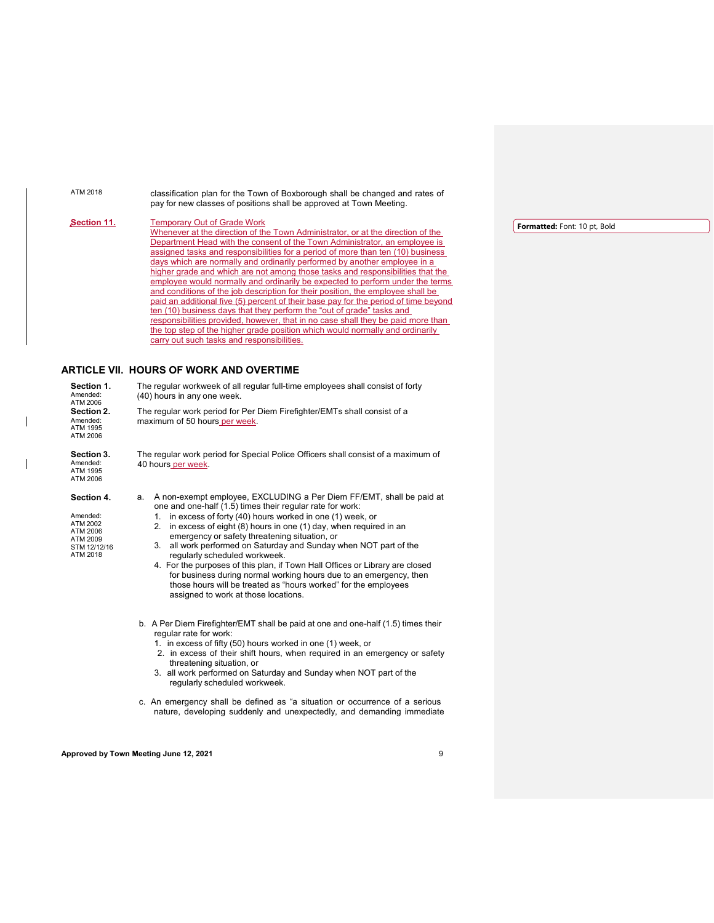| ATM 2018                                                                               | classification plan for the Town of Boxborough shall be changed and rates of<br>pay for new classes of positions shall be approved at Town Meeting.                                                                                                                                                                                                                                                                                                                                                                                                                                                                                                                                                                                                                                                                                                                                                                                                                                                          |                   |
|----------------------------------------------------------------------------------------|--------------------------------------------------------------------------------------------------------------------------------------------------------------------------------------------------------------------------------------------------------------------------------------------------------------------------------------------------------------------------------------------------------------------------------------------------------------------------------------------------------------------------------------------------------------------------------------------------------------------------------------------------------------------------------------------------------------------------------------------------------------------------------------------------------------------------------------------------------------------------------------------------------------------------------------------------------------------------------------------------------------|-------------------|
| <u>Section 11.</u>                                                                     | <b>Temporary Out of Grade Work</b><br>Whenever at the direction of the Town Administrator, or at the direction of the<br>Department Head with the consent of the Town Administrator, an employee is<br>assigned tasks and responsibilities for a period of more than ten (10) business<br>days which are normally and ordinarily performed by another employee in a<br>higher grade and which are not among those tasks and responsibilities that the<br>employee would normally and ordinarily be expected to perform under the terms<br>and conditions of the job description for their position, the employee shall be<br>paid an additional five (5) percent of their base pay for the period of time beyond<br>ten (10) business days that they perform the "out of grade" tasks and<br>responsibilities provided, however, that in no case shall they be paid more than<br>the top step of the higher grade position which would normally and ordinarily<br>carry out such tasks and responsibilities. | <b>Formatted:</b> |
| Section 1.<br>Amended:<br>ATM 2006<br>Section 2.<br>Amended:<br>ATM 1995<br>ATM 2006   | <b>ARTICLE VII. HOURS OF WORK AND OVERTIME</b><br>The regular workweek of all regular full-time employees shall consist of forty<br>(40) hours in any one week.<br>The regular work period for Per Diem Firefighter/EMTs shall consist of a<br>maximum of 50 hours per week.                                                                                                                                                                                                                                                                                                                                                                                                                                                                                                                                                                                                                                                                                                                                 |                   |
| <b>Section 3.</b><br>Amended:<br>ATM 1995<br>ATM 2006                                  | The regular work period for Special Police Officers shall consist of a maximum of<br>40 hours per week.                                                                                                                                                                                                                                                                                                                                                                                                                                                                                                                                                                                                                                                                                                                                                                                                                                                                                                      |                   |
| Section 4.<br>Amended:<br>ATM 2002<br>ATM 2006<br>ATM 2009<br>STM 12/12/16<br>ATM 2018 | A non-exempt employee, EXCLUDING a Per Diem FF/EMT, shall be paid at<br>a.<br>one and one-half (1.5) times their regular rate for work:<br>1. in excess of forty (40) hours worked in one (1) week, or<br>2. in excess of eight (8) hours in one (1) day, when required in an<br>emergency or safety threatening situation, or<br>3. all work performed on Saturday and Sunday when NOT part of the<br>regularly scheduled workweek.<br>4. For the purposes of this plan, if Town Hall Offices or Library are closed<br>for business during normal working hours due to an emergency, then<br>those hours will be treated as "hours worked" for the employees<br>assigned to work at those locations.                                                                                                                                                                                                                                                                                                        |                   |
|                                                                                        | b. A Per Diem Firefighter/EMT shall be paid at one and one-half (1.5) times their<br>regular rate for work:<br>1. in excess of fifty (50) hours worked in one (1) week, or<br>2. in excess of their shift hours, when required in an emergency or safety<br>threatening situation, or<br>3. all work performed on Saturday and Sunday when NOT part of the<br>regularly scheduled workweek.                                                                                                                                                                                                                                                                                                                                                                                                                                                                                                                                                                                                                  |                   |
|                                                                                        | c. An emergency shall be defined as "a situation or occurrence of a serious<br>nature, developing suddenly and unexpectedly, and demanding immediate                                                                                                                                                                                                                                                                                                                                                                                                                                                                                                                                                                                                                                                                                                                                                                                                                                                         |                   |

### Font: 10 pt, Bold:

 $\overline{\phantom{a}}$ 

 $\overline{\phantom{a}}$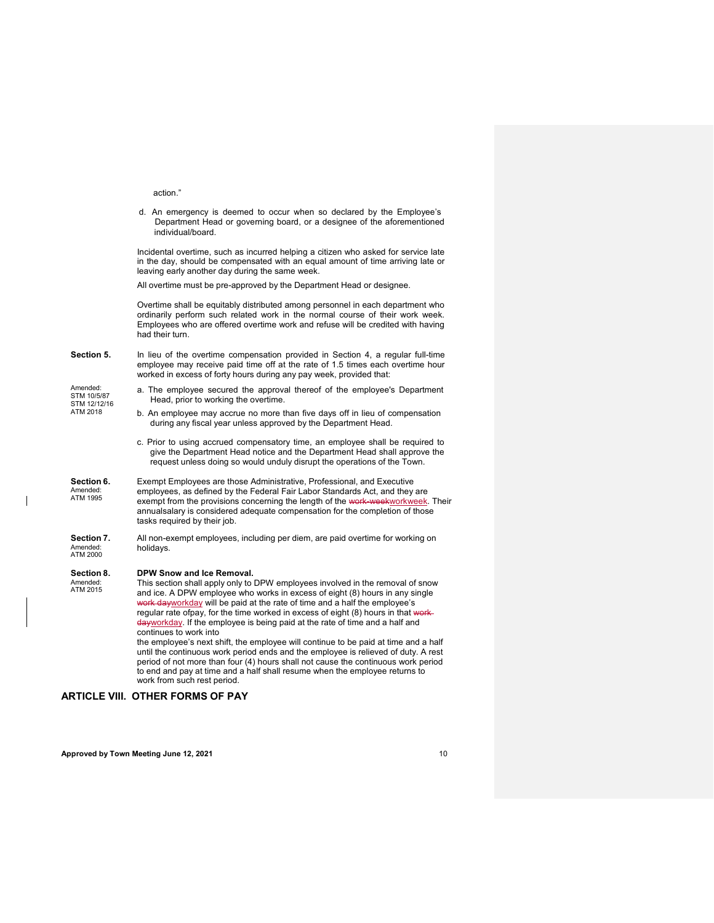|                                                     | action."                                                                                                                                                                                                                                                                                                                                                                                                                                                                                                                                                                                                                                                                                                                                                                                                                                                  |
|-----------------------------------------------------|-----------------------------------------------------------------------------------------------------------------------------------------------------------------------------------------------------------------------------------------------------------------------------------------------------------------------------------------------------------------------------------------------------------------------------------------------------------------------------------------------------------------------------------------------------------------------------------------------------------------------------------------------------------------------------------------------------------------------------------------------------------------------------------------------------------------------------------------------------------|
|                                                     | d. An emergency is deemed to occur when so declared by the Employee's<br>Department Head or governing board, or a designee of the aforementioned<br>individual/board.                                                                                                                                                                                                                                                                                                                                                                                                                                                                                                                                                                                                                                                                                     |
|                                                     | Incidental overtime, such as incurred helping a citizen who asked for service late<br>in the day, should be compensated with an equal amount of time arriving late or<br>leaving early another day during the same week.                                                                                                                                                                                                                                                                                                                                                                                                                                                                                                                                                                                                                                  |
|                                                     | All overtime must be pre-approved by the Department Head or designee.                                                                                                                                                                                                                                                                                                                                                                                                                                                                                                                                                                                                                                                                                                                                                                                     |
|                                                     | Overtime shall be equitably distributed among personnel in each department who<br>ordinarily perform such related work in the normal course of their work week.<br>Employees who are offered overtime work and refuse will be credited with having<br>had their turn.                                                                                                                                                                                                                                                                                                                                                                                                                                                                                                                                                                                     |
| Section 5.                                          | In lieu of the overtime compensation provided in Section 4, a regular full-time<br>employee may receive paid time off at the rate of 1.5 times each overtime hour<br>worked in excess of forty hours during any pay week, provided that:                                                                                                                                                                                                                                                                                                                                                                                                                                                                                                                                                                                                                  |
| Amended:<br>STM 10/5/87<br>STM 12/12/16<br>ATM 2018 | a. The employee secured the approval thereof of the employee's Department<br>Head, prior to working the overtime.                                                                                                                                                                                                                                                                                                                                                                                                                                                                                                                                                                                                                                                                                                                                         |
|                                                     | b. An employee may accrue no more than five days off in lieu of compensation<br>during any fiscal year unless approved by the Department Head.                                                                                                                                                                                                                                                                                                                                                                                                                                                                                                                                                                                                                                                                                                            |
|                                                     | c. Prior to using accrued compensatory time, an employee shall be required to<br>give the Department Head notice and the Department Head shall approve the<br>request unless doing so would unduly disrupt the operations of the Town.                                                                                                                                                                                                                                                                                                                                                                                                                                                                                                                                                                                                                    |
| Section 6.<br>Amended:<br>ATM 1995                  | Exempt Employees are those Administrative, Professional, and Executive<br>employees, as defined by the Federal Fair Labor Standards Act, and they are<br>exempt from the provisions concerning the length of the work-weekworkweek. Their<br>annualsalary is considered adequate compensation for the completion of those<br>tasks required by their job.                                                                                                                                                                                                                                                                                                                                                                                                                                                                                                 |
| Section 7.<br>Amended:<br>ATM 2000                  | All non-exempt employees, including per diem, are paid overtime for working on<br>holidays.                                                                                                                                                                                                                                                                                                                                                                                                                                                                                                                                                                                                                                                                                                                                                               |
| Section 8.<br>Amended:<br>ATM 2015                  | DPW Snow and Ice Removal.<br>This section shall apply only to DPW employees involved in the removal of snow<br>and ice. A DPW employee who works in excess of eight (8) hours in any single<br>work dayworkday will be paid at the rate of time and a half the employee's<br>regular rate ofpay, for the time worked in excess of eight (8) hours in that work-<br>dayworkday. If the employee is being paid at the rate of time and a half and<br>continues to work into<br>the employee's next shift, the employee will continue to be paid at time and a half<br>until the continuous work period ends and the employee is relieved of duty. A rest<br>period of not more than four (4) hours shall not cause the continuous work period<br>to end and pay at time and a half shall resume when the employee returns to<br>work from such rest period. |

## **ARTICLE VIII. OTHER FORMS OF PAY**

 $\overline{1}$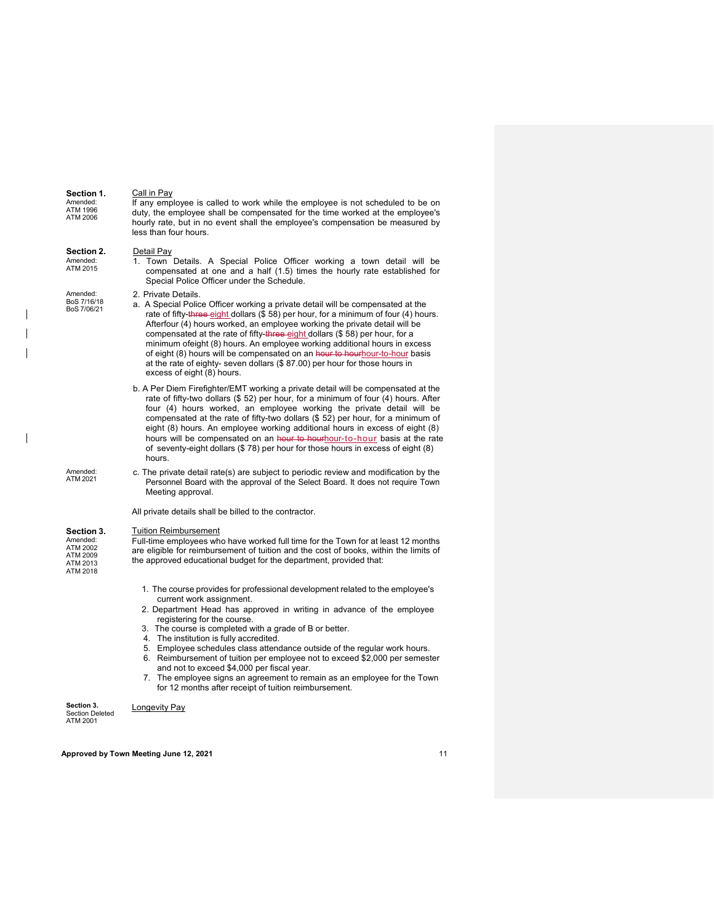| Section 1.<br>Amended:<br>ATM 1996<br>ATM 2006                         | Call in Pay<br>If any employee is called to work while the employee is not scheduled to be on<br>duty, the employee shall be compensated for the time worked at the employee's<br>hourly rate, but in no event shall the employee's compensation be measured by<br>less than four hours.                                                                                                                                                                                                                                                                                                                                                                               |
|------------------------------------------------------------------------|------------------------------------------------------------------------------------------------------------------------------------------------------------------------------------------------------------------------------------------------------------------------------------------------------------------------------------------------------------------------------------------------------------------------------------------------------------------------------------------------------------------------------------------------------------------------------------------------------------------------------------------------------------------------|
| Section 2.<br>Amended:<br>ATM 2015                                     | Detail Pay<br>1. Town Details. A Special Police Officer working a town detail will be<br>compensated at one and a half (1.5) times the hourly rate established for<br>Special Police Officer under the Schedule.                                                                                                                                                                                                                                                                                                                                                                                                                                                       |
| Amended:<br>BoS 7/16/18<br>BoS 7/06/21                                 | 2. Private Details.<br>a. A Special Police Officer working a private detail will be compensated at the<br>rate of fifty-three-eight dollars (\$58) per hour, for a minimum of four (4) hours.<br>Afterfour (4) hours worked, an employee working the private detail will be<br>compensated at the rate of fifty-three-eight dollars (\$58) per hour, for a<br>minimum of eight (8) hours. An employee working additional hours in excess<br>of eight (8) hours will be compensated on an hour to hourhour-to-hour basis<br>at the rate of eighty- seven dollars $(\$ 87.00)$ per hour for those hours in<br>excess of eight (8) hours.                                 |
|                                                                        | b. A Per Diem Firefighter/EMT working a private detail will be compensated at the<br>rate of fifty-two dollars $(\$ 52)$ per hour, for a minimum of four $(4)$ hours. After<br>four (4) hours worked, an employee working the private detail will be<br>compensated at the rate of fifty-two dollars $(\$ 52)$ per hour, for a minimum of<br>eight (8) hours. An employee working additional hours in excess of eight (8)<br>hours will be compensated on an hour to hourhour-to-hour basis at the rate<br>of seventy-eight dollars (\$78) per hour for those hours in excess of eight (8)<br>hours.                                                                   |
| Amended:<br>ATM 2021                                                   | c. The private detail rate(s) are subject to periodic review and modification by the<br>Personnel Board with the approval of the Select Board. It does not require Town<br>Meeting approval.                                                                                                                                                                                                                                                                                                                                                                                                                                                                           |
|                                                                        | All private details shall be billed to the contractor.                                                                                                                                                                                                                                                                                                                                                                                                                                                                                                                                                                                                                 |
| Section 3.<br>Amended:<br>ATM 2002<br>ATM 2009<br>ATM 2013<br>ATM 2018 | <b>Tuition Reimbursement</b><br>Full-time employees who have worked full time for the Town for at least 12 months<br>are eligible for reimbursement of tuition and the cost of books, within the limits of<br>the approved educational budget for the department, provided that:                                                                                                                                                                                                                                                                                                                                                                                       |
|                                                                        | 1. The course provides for professional development related to the employee's<br>current work assignment.<br>2. Department Head has approved in writing in advance of the employee<br>registering for the course.<br>3. The course is completed with a grade of B or better.<br>4. The institution is fully accredited.<br>5. Employee schedules class attendance outside of the regular work hours.<br>6. Reimbursement of tuition per employee not to exceed \$2,000 per semester<br>and not to exceed \$4,000 per fiscal year.<br>7. The employee signs an agreement to remain as an employee for the Town<br>for 12 months after receipt of tuition reimbursement. |
| Section 3.<br>Section Delated                                          | Longevity Pay                                                                                                                                                                                                                                                                                                                                                                                                                                                                                                                                                                                                                                                          |

**Section 3.** Section Deleted ATM 2001

 $\overline{\phantom{a}}$  $\overline{\phantom{a}}$  $\overline{\phantom{a}}$ 

 $\begin{array}{c} \hline \end{array}$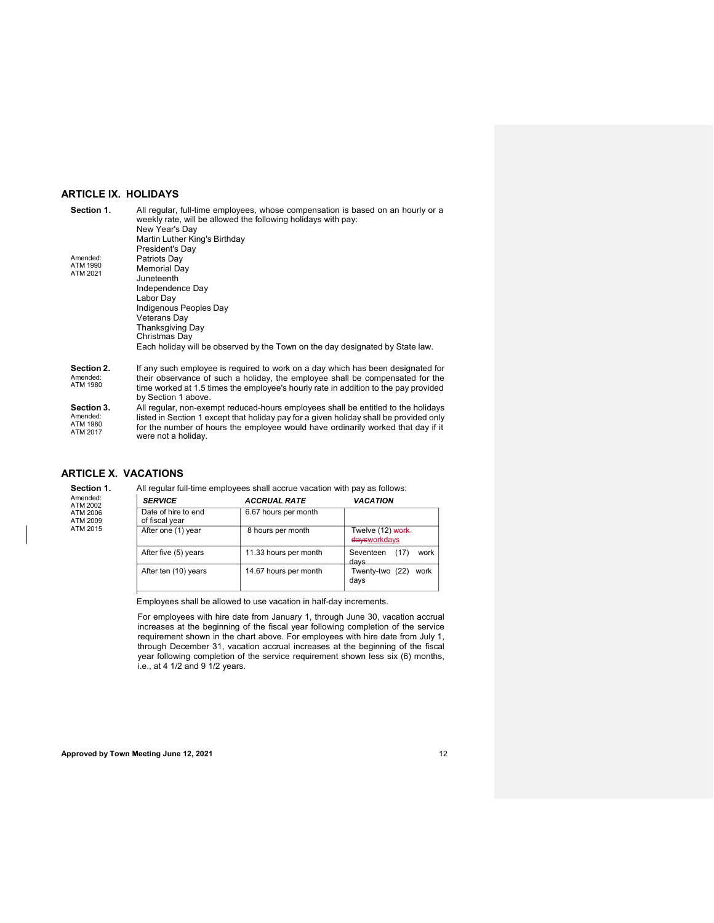### **ARTICLE IX. HOLIDAYS**

| Section 1.                                     | All regular, full-time employees, whose compensation is based on an hourly or a<br>weekly rate, will be allowed the following holidays with pay:<br>New Year's Day<br>Martin Luther King's Birthday<br>President's Day                                                                 |
|------------------------------------------------|----------------------------------------------------------------------------------------------------------------------------------------------------------------------------------------------------------------------------------------------------------------------------------------|
| Amended:<br>ATM 1990<br>ATM 2021               | Patriots Day<br>Memorial Day<br>Juneteenth<br>Independence Day<br>Labor Day<br>Indigenous Peoples Day<br>Veterans Day<br>Thanksgiving Day<br>Christmas Day<br>Each holiday will be observed by the Town on the day designated by State law.                                            |
| Section 2.<br>Amended:<br>ATM 1980             | If any such employee is required to work on a day which has been designated for<br>their observance of such a holiday, the employee shall be compensated for the<br>time worked at 1.5 times the employee's hourly rate in addition to the pay provided<br>by Section 1 above.         |
| Section 3.<br>Amended:<br>ATM 1980<br>ATM 2017 | All regular, non-exempt reduced-hours employees shall be entitled to the holidays<br>listed in Section 1 except that holiday pay for a given holiday shall be provided only<br>for the number of hours the employee would have ordinarily worked that day if it<br>were not a holiday. |

### **ARTICLE X. VACATIONS**

| Amended:<br>ATM 2002<br>ATM 2006<br>ATM 2009<br>ATM 2015 | <b>SERVICE</b>                        | <b>ACCRUAL RATE</b>   | <b>VACATION</b>                   |
|----------------------------------------------------------|---------------------------------------|-----------------------|-----------------------------------|
|                                                          | Date of hire to end<br>of fiscal year | 6.67 hours per month  |                                   |
|                                                          | After one (1) year                    | 8 hours per month     | Twelve (12) work-<br>daysworkdays |
|                                                          | After five (5) years                  | 11.33 hours per month | (17)<br>Seventeen<br>work<br>davs |
|                                                          | After ten (10) years                  | 14.67 hours per month | Twenty-two (22)<br>work<br>days   |

Employees shall be allowed to use vacation in half-day increments.

For employees with hire date from January 1, through June 30, vacation accrual increases at the beginning of the fiscal year following completion of the service requirement shown in the chart above. For employees with hire date from July 1, through December 31, vacation accrual increases at the beginning of the fiscal year following completion of the service requirement shown less six (6) months, i.e., at 4 1/2 and 9 1/2 years.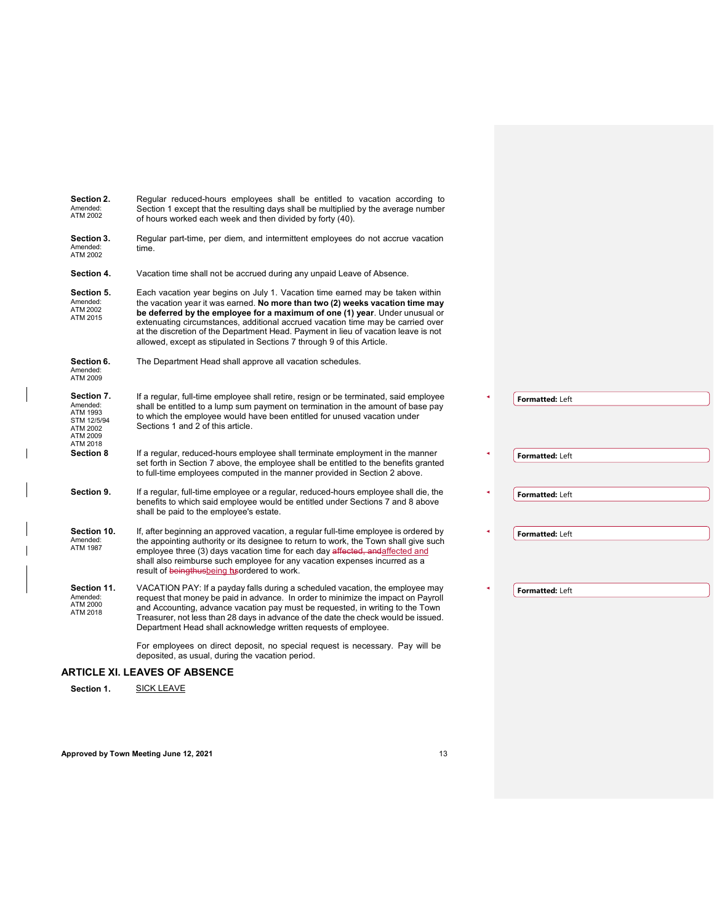| Section 2.<br>Amended:<br>ATM 2002                                                    | Regular reduced-hours employees shall be entitled to vacation according to<br>Section 1 except that the resulting days shall be multiplied by the average number<br>of hours worked each week and then divided by forty (40).                                                                                                                                                                                                                                                                    |                        |
|---------------------------------------------------------------------------------------|--------------------------------------------------------------------------------------------------------------------------------------------------------------------------------------------------------------------------------------------------------------------------------------------------------------------------------------------------------------------------------------------------------------------------------------------------------------------------------------------------|------------------------|
| Section 3.<br>Amended:<br>ATM 2002                                                    | Regular part-time, per diem, and intermittent employees do not accrue vacation<br>time.                                                                                                                                                                                                                                                                                                                                                                                                          |                        |
| Section 4.                                                                            | Vacation time shall not be accrued during any unpaid Leave of Absence.                                                                                                                                                                                                                                                                                                                                                                                                                           |                        |
| Section 5.<br>Amended:<br>ATM 2002<br>ATM 2015                                        | Each vacation year begins on July 1. Vacation time earned may be taken within<br>the vacation year it was earned. No more than two (2) weeks vacation time may<br>be deferred by the employee for a maximum of one (1) year. Under unusual or<br>extenuating circumstances, additional accrued vacation time may be carried over<br>at the discretion of the Department Head. Payment in lieu of vacation leave is not<br>allowed, except as stipulated in Sections 7 through 9 of this Article. |                        |
| Section 6.<br>Amended:<br>ATM 2009                                                    | The Department Head shall approve all vacation schedules.                                                                                                                                                                                                                                                                                                                                                                                                                                        |                        |
| Section 7.<br>Amended:<br>ATM 1993<br>STM 12/5/94<br>ATM 2002<br>ATM 2009<br>ATM 2018 | If a regular, full-time employee shall retire, resign or be terminated, said employee<br>shall be entitled to a lump sum payment on termination in the amount of base pay<br>to which the employee would have been entitled for unused vacation under<br>Sections 1 and 2 of this article.                                                                                                                                                                                                       | Formatted: Left        |
| <b>Section 8</b>                                                                      | If a regular, reduced-hours employee shall terminate employment in the manner<br>set forth in Section 7 above, the employee shall be entitled to the benefits granted<br>to full-time employees computed in the manner provided in Section 2 above.                                                                                                                                                                                                                                              | <b>Formatted: Left</b> |
| Section 9.                                                                            | If a regular, full-time employee or a regular, reduced-hours employee shall die, the<br>benefits to which said employee would be entitled under Sections 7 and 8 above<br>shall be paid to the employee's estate.                                                                                                                                                                                                                                                                                | Formatted: Left        |
| Section 10.<br>Amended:<br><b>ATM 1987</b>                                            | If, after beginning an approved vacation, a regular full-time employee is ordered by<br>the appointing authority or its designee to return to work, the Town shall give such<br>employee three (3) days vacation time for each day affected, andaffected and<br>shall also reimburse such employee for any vacation expenses incurred as a<br>result of beingthusbeing hisordered to work.                                                                                                       | <b>Formatted: Left</b> |
| Section 11.<br>Amended:<br>ATM 2000<br>ATM 2018                                       | VACATION PAY: If a payday falls during a scheduled vacation, the employee may<br>request that money be paid in advance. In order to minimize the impact on Payroll<br>and Accounting, advance vacation pay must be requested, in writing to the Town<br>Treasurer, not less than 28 days in advance of the date the check would be issued.<br>Department Head shall acknowledge written requests of employee.                                                                                    | Formatted: Left        |
|                                                                                       | For employees on direct deposit, no special request is necessary. Pay will be<br>deposited, as usual, during the vacation period.                                                                                                                                                                                                                                                                                                                                                                |                        |
|                                                                                       | <b>ARTICLE XI. LEAVES OF ABSENCE</b>                                                                                                                                                                                                                                                                                                                                                                                                                                                             |                        |
|                                                                                       | $\bigcap_{i=1}^{n}$                                                                                                                                                                                                                                                                                                                                                                                                                                                                              |                        |

Section 1. SICK LEAVE

 $\mathbf{I}$ 

 $\mathsf{l}$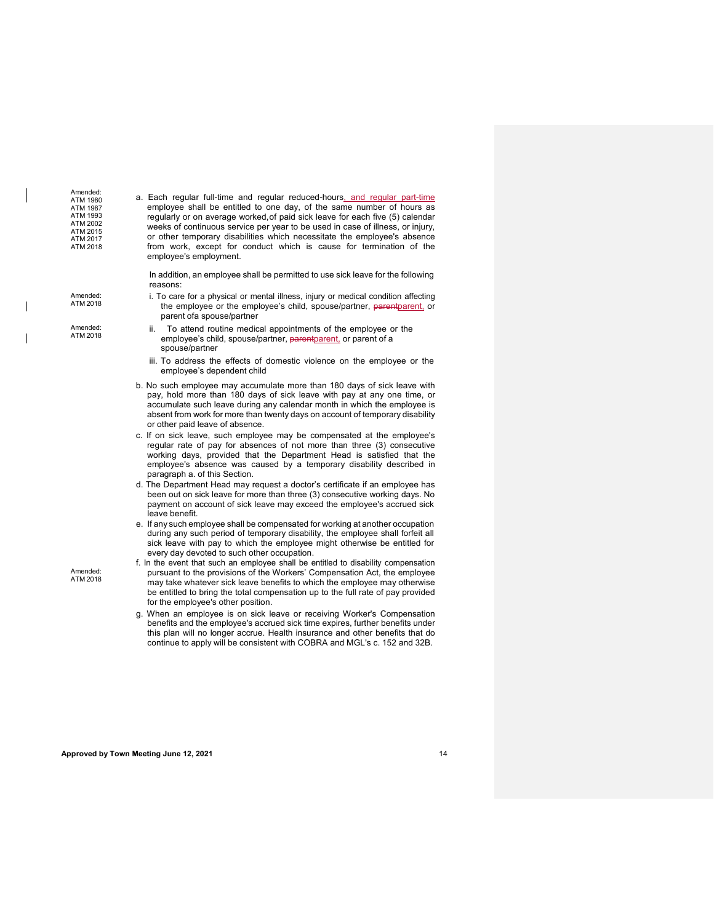| Amended:<br>ATM 1980<br><b>ATM 1987</b><br>ATM 1993<br>ATM 2002<br>ATM 2015<br>ATM 2017<br>ATM 2018 | a. Each regular full-time and regular reduced-hours, and regular part-time<br>employee shall be entitled to one day, of the same number of hours as<br>regularly or on average worked, of paid sick leave for each five (5) calendar<br>weeks of continuous service per year to be used in case of illness, or injury,<br>or other temporary disabilities which necessitate the employee's absence<br>from work, except for conduct which is cause for termination of the<br>employee's employment. |
|-----------------------------------------------------------------------------------------------------|-----------------------------------------------------------------------------------------------------------------------------------------------------------------------------------------------------------------------------------------------------------------------------------------------------------------------------------------------------------------------------------------------------------------------------------------------------------------------------------------------------|
|                                                                                                     | In addition, an employee shall be permitted to use sick leave for the following<br>reasons:                                                                                                                                                                                                                                                                                                                                                                                                         |
| Amended:<br>ATM 2018                                                                                | i. To care for a physical or mental illness, injury or medical condition affecting<br>the employee or the employee's child, spouse/partner, parentparent, or<br>parent ofa spouse/partner                                                                                                                                                                                                                                                                                                           |
| Amended:<br>ATM 2018                                                                                | To attend routine medical appointments of the employee or the<br>ii.<br>employee's child, spouse/partner, parentparent, or parent of a<br>spouse/partner                                                                                                                                                                                                                                                                                                                                            |
|                                                                                                     | iii. To address the effects of domestic violence on the employee or the<br>employee's dependent child                                                                                                                                                                                                                                                                                                                                                                                               |
|                                                                                                     | b. No such employee may accumulate more than 180 days of sick leave with<br>pay, hold more than 180 days of sick leave with pay at any one time, or<br>accumulate such leave during any calendar month in which the employee is<br>absent from work for more than twenty days on account of temporary disability<br>or other paid leave of absence.                                                                                                                                                 |
|                                                                                                     | c. If on sick leave, such employee may be compensated at the employee's<br>regular rate of pay for absences of not more than three (3) consecutive<br>working days, provided that the Department Head is satisfied that the<br>employee's absence was caused by a temporary disability described in<br>paragraph a. of this Section.                                                                                                                                                                |
|                                                                                                     | d. The Department Head may request a doctor's certificate if an employee has<br>been out on sick leave for more than three (3) consecutive working days. No<br>payment on account of sick leave may exceed the employee's accrued sick<br>leave benefit.                                                                                                                                                                                                                                            |
|                                                                                                     | e. If any such employee shall be compensated for working at another occupation<br>during any such period of temporary disability, the employee shall forfeit all<br>sick leave with pay to which the employee might otherwise be entitled for<br>every day devoted to such other occupation.                                                                                                                                                                                                        |
| Amended:<br>ATM 2018                                                                                | f. In the event that such an employee shall be entitled to disability compensation<br>pursuant to the provisions of the Workers' Compensation Act, the employee<br>may take whatever sick leave benefits to which the employee may otherwise<br>be entitled to bring the total compensation up to the full rate of pay provided<br>for the employee's other position.                                                                                                                               |
|                                                                                                     | g. When an employee is on sick leave or receiving Worker's Compensation<br>benefits and the employee's accrued sick time expires, further benefits under<br>this plan will no longer accrue. Health insurance and other benefits that do<br>continue to apply will be consistent with COBRA and MGL's c. 152 and 32B.                                                                                                                                                                               |

 $\overline{\phantom{a}}$ 

 $\begin{array}{c} \hline \end{array}$ 

 $\overline{\phantom{a}}$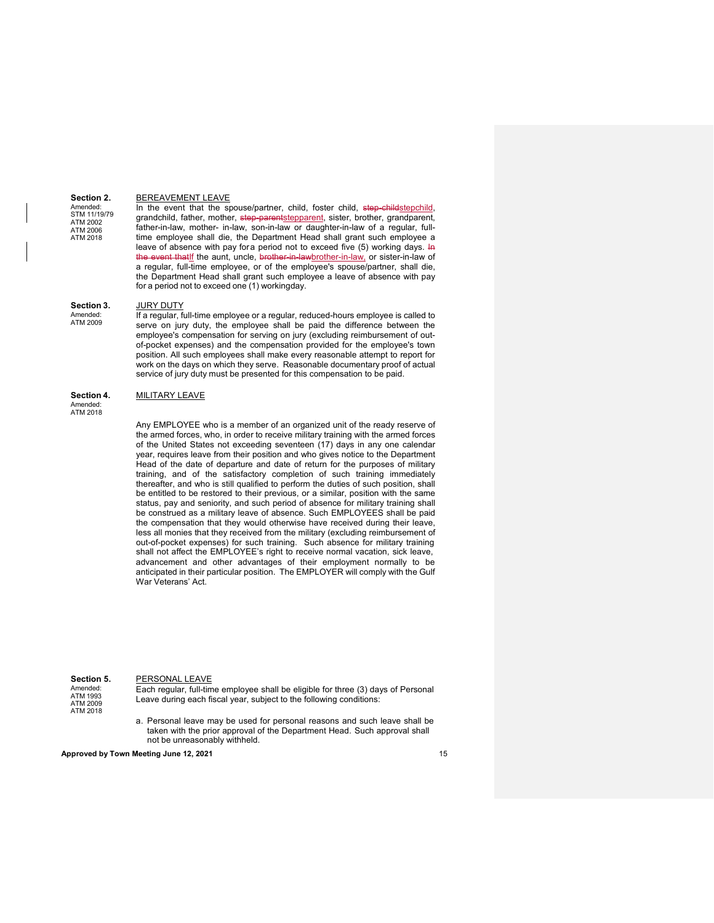#### BEREAVEMENT LEAVE

Amended: STM 11/19/79 ATM 2002 ATM 2006 ATM 2018

**Section 2.**

In the event that the spouse/partner, child, foster child, step-childstepchild, grandchild, father, mother, step-parentstepparent, sister, brother, grandparent, father-in-law, mother- in-law, son-in-law or daughter-in-law of a regular, fulltime employee shall die, the Department Head shall grant such employee a leave of absence with pay fora period not to exceed five  $(5)$  working days. In the event thatIf the aunt, uncle, brother-in-lawbrother-in-law, or sister-in-law of a regular, full-time employee, or of the employee's spouse/partner, shall die, the Department Head shall grant such employee a leave of absence with pay for a period not to exceed one (1) workingday.

#### **Section 3.** JURY DUTY

Amended: ATM 2009 If a regular, full-time employee or a regular, reduced-hours employee is called to serve on jury duty, the employee shall be paid the difference between the employee's compensation for serving on jury (excluding reimbursement of outof-pocket expenses) and the compensation provided for the employee's town position. All such employees shall make every reasonable attempt to report for work on the days on which they serve. Reasonable documentary proof of actual service of jury duty must be presented for this compensation to be paid.

#### **Section 4.** MILITARY LEAVE

Amended: ATM 2018

> Any EMPLOYEE who is a member of an organized unit of the ready reserve of the armed forces, who, in order to receive military training with the armed forces of the United States not exceeding seventeen (17) days in any one calendar year, requires leave from their position and who gives notice to the Department Head of the date of departure and date of return for the purposes of military training, and of the satisfactory completion of such training immediately thereafter, and who is still qualified to perform the duties of such position, shall be entitled to be restored to their previous, or a similar, position with the same status, pay and seniority, and such period of absence for military training shall be construed as a military leave of absence. Such EMPLOYEES shall be paid the compensation that they would otherwise have received during their leave, less all monies that they received from the military (excluding reimbursement of out-of-pocket expenses) for such training. Such absence for military training shall not affect the EMPLOYEE's right to receive normal vacation, sick leave, advancement and other advantages of their employment normally to be anticipated in their particular position. The EMPLOYER will comply with the Gulf War Veterans' Act.

#### **Section 5.** PERSONAL LEAVE Amended: ATM 1993 ATM 2009

Each regular, full-time employee shall be eligible for three (3) days of Personal Leave during each fiscal year, subject to the following conditions:

a. Personal leave may be used for personal reasons and such leave shall be taken with the prior approval of the Department Head. Such approval shall not be unreasonably withheld.

**Approved by Town Meeting June 12, 2021** 15

ATM 2018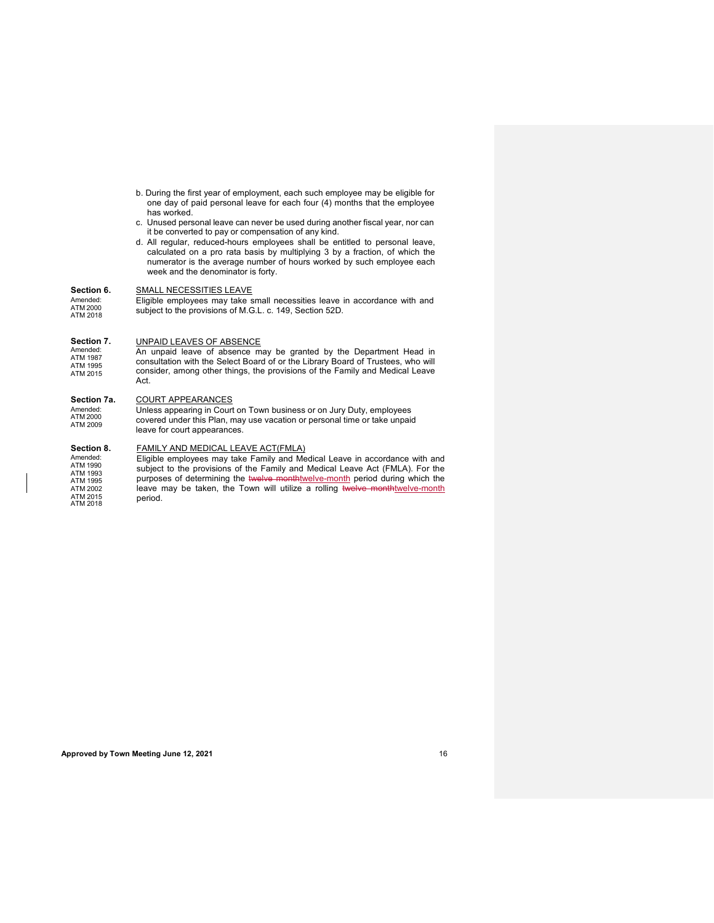- b. During the first year of employment, each such employee may be eligible for one day of paid personal leave for each four (4) months that the employee has worked.
- c. Unused personal leave can never be used during another fiscal year, nor can it be converted to pay or compensation of any kind.
- d. All regular, reduced-hours employees shall be entitled to personal leave, calculated on a pro rata basis by multiplying 3 by a fraction, of which the numerator is the average number of hours worked by such employee each week and the denominator is forty.

#### **Section 6.** SMALL NECESSITIES LEAVE

Amended: ATM 2000 ATM 2018 Eligible employees may take small necessities leave in accordance with and subject to the provisions of M.G.L. c. 149, Section 52D.

#### **Section 7.** UNPAID LEAVES OF ABSENCE

An unpaid leave of absence may be granted by the Department Head in consultation with the Select Board of or the Library Board of Trustees, who will consider, among other things, the provisions of the Family and Medical Leave Act. Amended: ATM 1987 ATM 1995 ATM 2015

#### **Section 7a.** COURT APPEARANCES

Amended: ATM 2000 ATM 2009 Unless appearing in Court on Town business or on Jury Duty, employees covered under this Plan, may use vacation or personal time or take unpaid leave for court appearances.

### **Section 8.** FAMILY AND MEDICAL LEAVE ACT(FMLA)

Amended: ATM 1990 ATM 1993 ATM 1995 ATM 2002 ATM 2015 ATM 2018 Eligible employees may take Family and Medical Leave in accordance with and subject to the provisions of the Family and Medical Leave Act (FMLA). For the purposes of determining the twelve monthtwelve-month period during which the leave may be taken, the Town will utilize a rolling twelve monthtwelve-month period.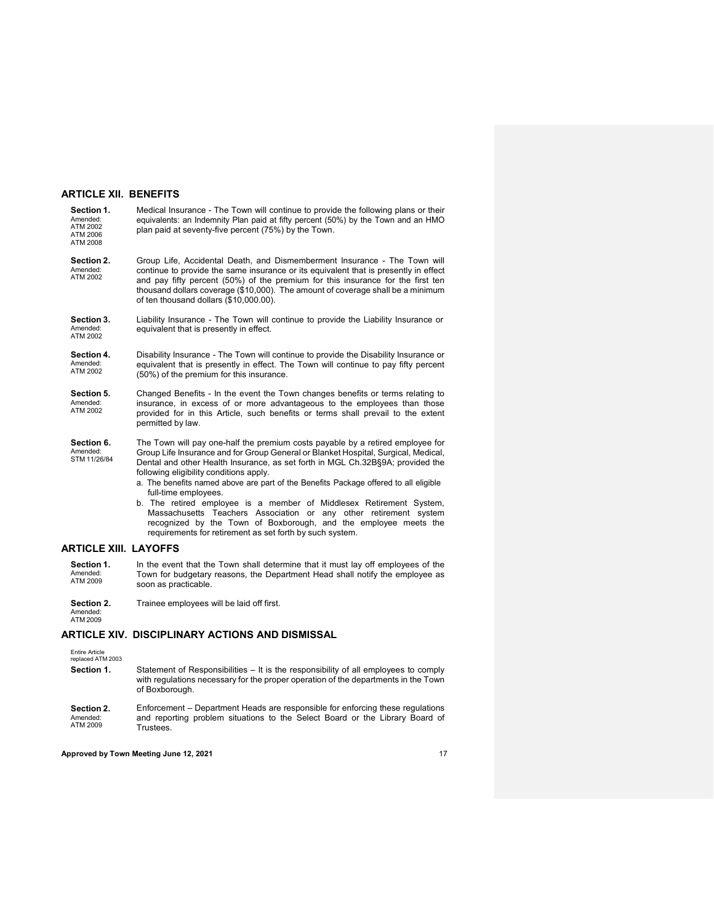#### **ARTICLE XII. BENEFITS**

| Section 1.<br>Amended:<br>ATM 2002<br>ATM 2006<br>ATM 2008 | Medical Insurance - The Town will continue to provide the following plans or their<br>equivalents: an Indemnity Plan paid at fifty percent (50%) by the Town and an HMO<br>plan paid at seventy-five percent (75%) by the Town.                                                                                                                                                                                                                                                                                                                                                                                                                                                               |  |  |  |  |  |
|------------------------------------------------------------|-----------------------------------------------------------------------------------------------------------------------------------------------------------------------------------------------------------------------------------------------------------------------------------------------------------------------------------------------------------------------------------------------------------------------------------------------------------------------------------------------------------------------------------------------------------------------------------------------------------------------------------------------------------------------------------------------|--|--|--|--|--|
| Section 2.<br>Amended:<br>ATM 2002                         | Group Life, Accidental Death, and Dismemberment Insurance - The Town will<br>continue to provide the same insurance or its equivalent that is presently in effect<br>and pay fifty percent (50%) of the premium for this insurance for the first ten<br>thousand dollars coverage (\$10,000). The amount of coverage shall be a minimum<br>of ten thousand dollars (\$10,000.00).                                                                                                                                                                                                                                                                                                             |  |  |  |  |  |
| Section 3.<br>Amended:<br>ATM 2002                         | Liability Insurance - The Town will continue to provide the Liability Insurance or<br>equivalent that is presently in effect.                                                                                                                                                                                                                                                                                                                                                                                                                                                                                                                                                                 |  |  |  |  |  |
| Section 4.<br>Amended:<br>ATM 2002                         | Disability Insurance - The Town will continue to provide the Disability Insurance or<br>equivalent that is presently in effect. The Town will continue to pay fifty percent<br>(50%) of the premium for this insurance.                                                                                                                                                                                                                                                                                                                                                                                                                                                                       |  |  |  |  |  |
| Section 5.<br>Amended:<br>ATM 2002                         | Changed Benefits - In the event the Town changes benefits or terms relating to<br>insurance, in excess of or more advantageous to the employees than those<br>provided for in this Article, such benefits or terms shall prevail to the extent<br>permitted by law.                                                                                                                                                                                                                                                                                                                                                                                                                           |  |  |  |  |  |
| Section 6.<br>Amended:<br>STM 11/26/84                     | The Town will pay one-half the premium costs payable by a retired employee for<br>Group Life Insurance and for Group General or Blanket Hospital, Surgical, Medical,<br>Dental and other Health Insurance, as set forth in MGL Ch.32B§9A; provided the<br>following eligibility conditions apply.<br>a. The benefits named above are part of the Benefits Package offered to all eligible<br>full-time employees.<br>b. The retired employee is a member of Middlesex Retirement System,<br>Massachusetts Teachers Association or any other retirement system<br>recognized by the Town of Boxborough, and the employee meets the<br>requirements for retirement as set forth by such system. |  |  |  |  |  |

### <span id="page-17-0"></span>**ARTICLE XIII. LAYOFFS**

**Section 1.** Amended: ATM 2009 In the event that the Town shall determine that it must lay off employees of the Town for budgetary reasons, the Department Head shall notify the employee as soon as practicable.

**Section 2.** Trainee employees will be laid off first.

Amended: ATM 2009

## **ARTICLE XIV. DISCIPLINARY ACTIONS AND DISMISSAL**

Entire Article replaced ATM 2003

- **Section 1.** Statement of Responsibilities It is the responsibility of all employees to comply with regulations necessary for the proper operation of the departments in the Town of Boxborough.
- **Section 2.** Amended: ATM 2009 Enforcement – Department Heads are responsible for enforcing these regulations and reporting problem situations to the Select Board or the Library Board of Trustees.

#### **Approved by Town Meeting June 12, 2021** 17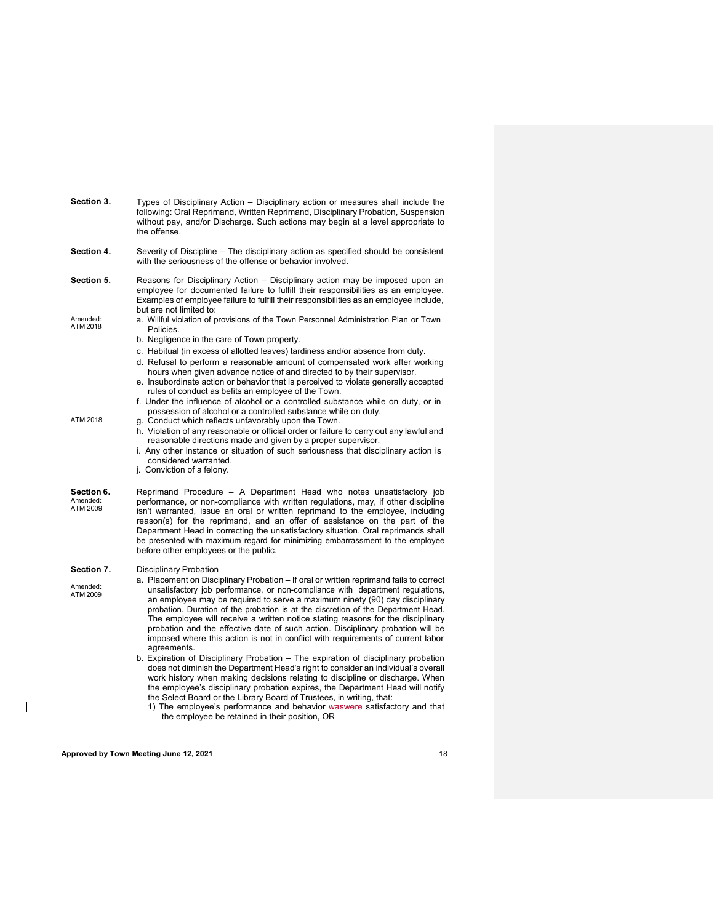| Section 3.                         | Types of Disciplinary Action – Disciplinary action or measures shall include the<br>following: Oral Reprimand, Written Reprimand, Disciplinary Probation, Suspension<br>without pay, and/or Discharge. Such actions may begin at a level appropriate to<br>the offense.                                                                                                                                                                                                                                                                                                                                                                                                                                                                                                                                                                                                                                                                                                                                                                                                                                                                                                 |
|------------------------------------|-------------------------------------------------------------------------------------------------------------------------------------------------------------------------------------------------------------------------------------------------------------------------------------------------------------------------------------------------------------------------------------------------------------------------------------------------------------------------------------------------------------------------------------------------------------------------------------------------------------------------------------------------------------------------------------------------------------------------------------------------------------------------------------------------------------------------------------------------------------------------------------------------------------------------------------------------------------------------------------------------------------------------------------------------------------------------------------------------------------------------------------------------------------------------|
| Section 4.                         | Severity of Discipline – The disciplinary action as specified should be consistent<br>with the seriousness of the offense or behavior involved.                                                                                                                                                                                                                                                                                                                                                                                                                                                                                                                                                                                                                                                                                                                                                                                                                                                                                                                                                                                                                         |
| Section 5.                         | Reasons for Disciplinary Action – Disciplinary action may be imposed upon an<br>employee for documented failure to fulfill their responsibilities as an employee.<br>Examples of employee failure to fulfill their responsibilities as an employee include,<br>but are not limited to:                                                                                                                                                                                                                                                                                                                                                                                                                                                                                                                                                                                                                                                                                                                                                                                                                                                                                  |
| Amended:<br>ATM 2018               | a. Willful violation of provisions of the Town Personnel Administration Plan or Town<br>Policies.<br>b. Negligence in the care of Town property.<br>c. Habitual (in excess of allotted leaves) tardiness and/or absence from duty.<br>d. Refusal to perform a reasonable amount of compensated work after working<br>hours when given advance notice of and directed to by their supervisor.<br>e. Insubordinate action or behavior that is perceived to violate generally accepted<br>rules of conduct as befits an employee of the Town.<br>f. Under the influence of alcohol or a controlled substance while on duty, or in                                                                                                                                                                                                                                                                                                                                                                                                                                                                                                                                          |
| ATM 2018                           | possession of alcohol or a controlled substance while on duty.<br>g. Conduct which reflects unfavorably upon the Town.<br>h. Violation of any reasonable or official order or failure to carry out any lawful and<br>reasonable directions made and given by a proper supervisor.<br>i. Any other instance or situation of such seriousness that disciplinary action is<br>considered warranted.<br>j. Conviction of a felony.                                                                                                                                                                                                                                                                                                                                                                                                                                                                                                                                                                                                                                                                                                                                          |
| Section 6.<br>Amended:<br>ATM 2009 | Reprimand Procedure – A Department Head who notes unsatisfactory job<br>performance, or non-compliance with written regulations, may, if other discipline<br>isn't warranted, issue an oral or written reprimand to the employee, including<br>reason(s) for the reprimand, and an offer of assistance on the part of the<br>Department Head in correcting the unsatisfactory situation. Oral reprimands shall<br>be presented with maximum regard for minimizing embarrassment to the employee<br>before other employees or the public.                                                                                                                                                                                                                                                                                                                                                                                                                                                                                                                                                                                                                                |
| Section 7.                         | Disciplinary Probation                                                                                                                                                                                                                                                                                                                                                                                                                                                                                                                                                                                                                                                                                                                                                                                                                                                                                                                                                                                                                                                                                                                                                  |
| Amended:<br>ATM 2009               | a. Placement on Disciplinary Probation – If oral or written reprimand fails to correct<br>unsatisfactory job performance, or non-compliance with department regulations,<br>an employee may be required to serve a maximum ninety (90) day disciplinary<br>probation. Duration of the probation is at the discretion of the Department Head.<br>The employee will receive a written notice stating reasons for the disciplinary<br>probation and the effective date of such action. Disciplinary probation will be<br>imposed where this action is not in conflict with requirements of current labor<br>agreements.<br>b. Expiration of Disciplinary Probation – The expiration of disciplinary probation<br>does not diminish the Department Head's right to consider an individual's overall<br>work history when making decisions relating to discipline or discharge. When<br>the employee's disciplinary probation expires, the Department Head will notify<br>the Select Board or the Library Board of Trustees, in writing, that:<br>1) The employee's performance and behavior waswere satisfactory and that<br>the employee be retained in their position, OR |
|                                    |                                                                                                                                                                                                                                                                                                                                                                                                                                                                                                                                                                                                                                                                                                                                                                                                                                                                                                                                                                                                                                                                                                                                                                         |

**Approved by Town Meeting June 12, 2021** 18

 $\overline{\mathbb{L}}$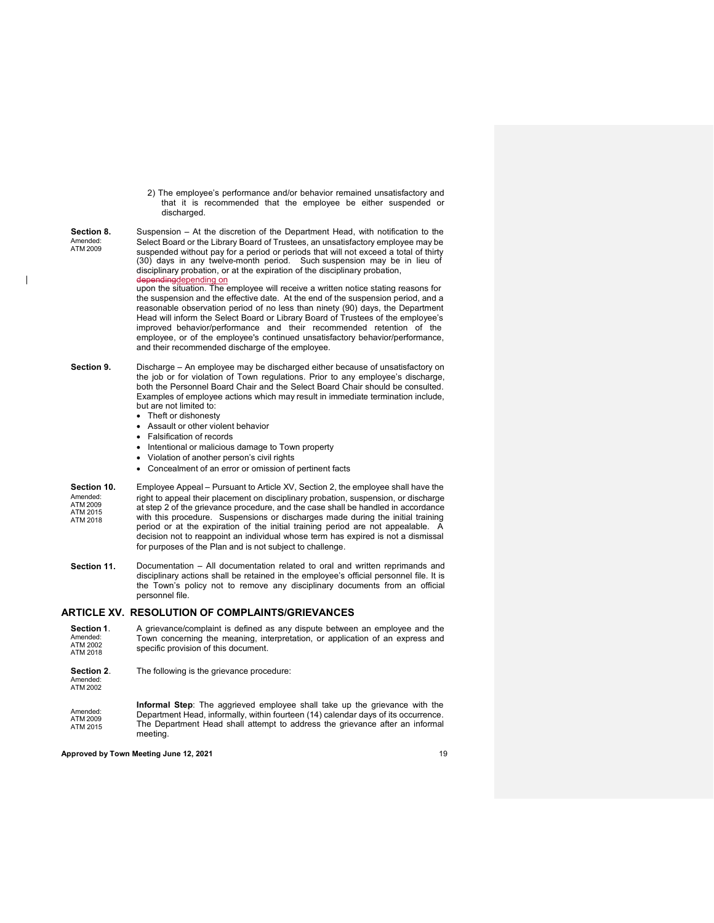2) The employee's performance and/or behavior remained unsatisfactory and that it is recommended that the employee be either suspended or discharged.

**Section 8.** Suspension – At the discretion of the Department Head, with notification to the Amended:<br>ATM 2009 Select Board or the Library Board of Trustees, an unsatisfactory employee may be suspended without pay for a period or periods that will not exceed a total of thirty (30) days in any twelve-month period. Such suspension may be in lieu of disciplinary probation, or at the expiration of the disciplinary probation, depending depending on ndingdepending on upon the situation. The employee will receive a written notice stating reasons for

the suspension and the effective date. At the end of the suspension period, and a reasonable observation period of no less than ninety (90) days, the Department Head will inform the Select Board or Library Board of Trustees of the employee's improved behavior/performance and their recommended retention of the employee, or of the employee's continued unsatisfactory behavior/performance, and their recommended discharge of the employee.

- **Section 9.** Discharge An employee may be discharged either because of unsatisfactory on the job or for violation of Town regulations. Prior to any employee's discharge, both the Personnel Board Chair and the Select Board Chair should be consulted. Examples of employee actions which may result in immediate termination include, but are not limited to:
	- Theft or dishonesty

 $\overline{\phantom{a}}$ 

- Assault or other violent behavior
- Falsification of records
- Intentional or malicious damage to Town property
- Violation of another person's civil rights
- Concealment of an error or omission of pertinent facts
- **Section 10.** Employee Appeal Pursuant to Article XV, Section 2, the employee shall have the Amended: ATM 2009 ATM 2015 ATM 2018 right to appeal their placement on disciplinary probation, suspension, or discharge at step 2 of the grievance procedure, and the case shall be handled in accordance with this procedure. Suspensions or discharges made during the initial training period or at the expiration of the initial training period are not appealable. A decision not to reappoint an individual whose term has expired is not a dismissal for purposes of the Plan and is not subject to challenge.
- **Section 11.** Documentation All documentation related to oral and written reprimands and disciplinary actions shall be retained in the employee's official personnel file. It is the Town's policy not to remove any disciplinary documents from an official personnel file.

#### **ARTICLE XV. RESOLUTION OF COMPLAINTS/GRIEVANCES**

| Section 1.<br>Amended:<br>ATM 2002<br>ATM 2018 | A grievance/complaint is defined as any dispute between an employee and the<br>Town concerning the meaning, interpretation, or application of an express and<br>specific provision of this document.                                                                 |
|------------------------------------------------|----------------------------------------------------------------------------------------------------------------------------------------------------------------------------------------------------------------------------------------------------------------------|
| Section 2.<br>Amended:<br>ATM 2002             | The following is the grievance procedure:                                                                                                                                                                                                                            |
| Amended:<br>ATM 2009<br>ATM 2015               | <b>Informal Step</b> : The aggrieved employee shall take up the grievance with the<br>Department Head, informally, within fourteen (14) calendar days of its occurrence.<br>The Department Head shall attempt to address the grievance after an informal<br>meeting. |
|                                                | Approved by Town Meeting June 12, 2021<br>19                                                                                                                                                                                                                         |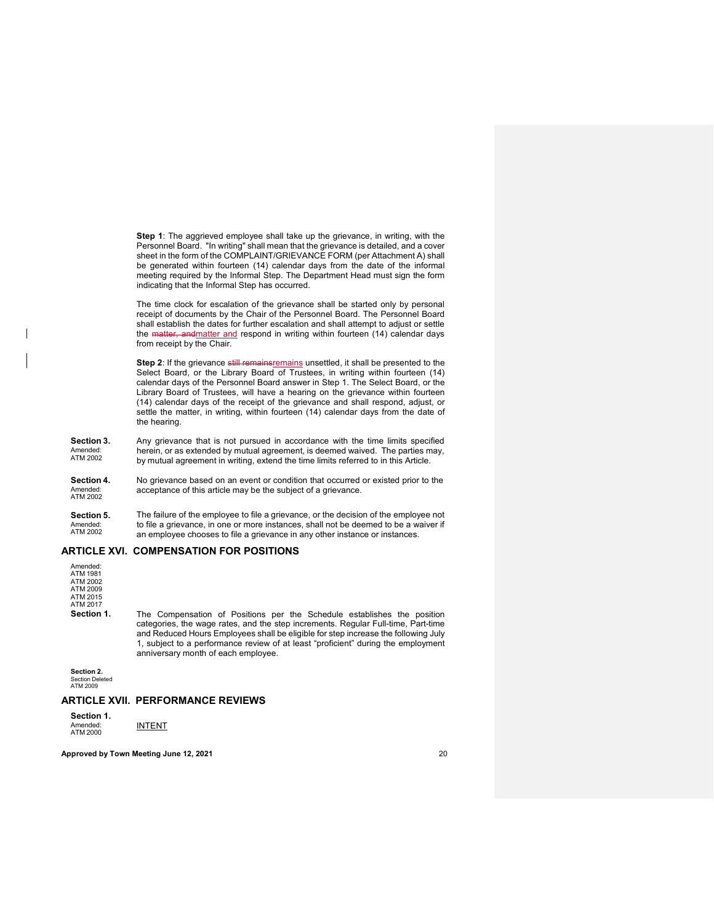**Step 1**: The aggrieved employee shall take up the grievance, in writing, with the Personnel Board. "In writing" shall mean that the grievance is detailed, and a cover sheet in the form of the COMPLAINT/GRIEVANCE FORM (per Attachment A) shall be generated within fourteen (14) calendar days from the date of the informal meeting required by the Informal Step. The Department Head must sign the form indicating that the Informal Step has occurred.

The time clock for escalation of the grievance shall be started only by personal receipt of documents by the Chair of the Personnel Board. The Personnel Board shall establish the dates for further escalation and shall attempt to adjust or settle the matter, and matter and respond in writing within fourteen (14) calendar days from receipt by the Chair.

**Step 2:** If the grievance still remainsremains unsettled, it shall be presented to the Select Board, or the Library Board of Trustees, in writing within fourteen (14) calendar days of the Personnel Board answer in Step 1. The Select Board, or the Library Board of Trustees, will have a hearing on the grievance within fourteen (14) calendar days of the receipt of the grievance and shall respond, adjust, or settle the matter, in writing, within fourteen (14) calendar days from the date of the hearing.

- **Section 3.** Amended: ATM 2002 Any grievance that is not pursued in accordance with the time limits specified herein, or as extended by mutual agreement, is deemed waived. The parties may, by mutual agreement in writing, extend the time limits referred to in this Article.
- **Section 4.** Amended: ATM 2002 No grievance based on an event or condition that occurred or existed prior to the acceptance of this article may be the subject of a grievance.
- **Section 5.** Amended: ATM 2002 The failure of the employee to file a grievance, or the decision of the employee not to file a grievance, in one or more instances, shall not be deemed to be a waiver if an employee chooses to file a grievance in any other instance or instances.

### **ARTICLE XVI. COMPENSATION FOR POSITIONS**

| Amended:<br>ATM 1981<br>ATM 2002<br>ATM 2009<br>ATM 2015<br>ATM 2017 |                                                                                                                                                                                                                                                                                                                                                                                |
|----------------------------------------------------------------------|--------------------------------------------------------------------------------------------------------------------------------------------------------------------------------------------------------------------------------------------------------------------------------------------------------------------------------------------------------------------------------|
| Section 1.                                                           | The Compensation of Positions per the Schedule establishes the position<br>categories, the wage rates, and the step increments. Regular Full-time, Part-time<br>and Reduced Hours Employees shall be eligible for step increase the following July<br>1, subject to a performance review of at least "proficient" during the employment<br>anniversary month of each employee. |

**Section 2.** Section Deleted ATM 2009

#### **ARTICLE XVII. PERFORMANCE REVIEWS**

| Section 1. |               |
|------------|---------------|
| Amended:   | <b>INTENT</b> |
| ATM 2000   |               |

**Approved by Town Meeting June 12, 2021** 20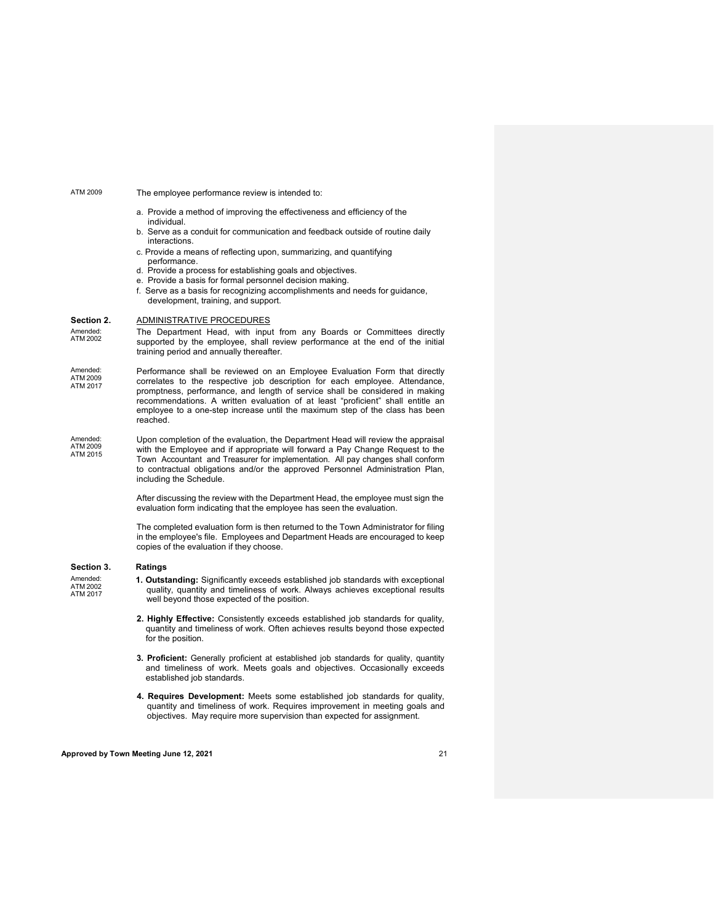#### ATM 2009 The employee performance review is intended to:

- a. Provide a method of improving the effectiveness and efficiency of the individual.
- b. Serve as a conduit for communication and feedback outside of routine daily interactions.
- c. Provide a means of reflecting upon, summarizing, and quantifying
- performance. d. Provide a process for establishing goals and objectives.
- e. Provide a basis for formal personnel decision making.
- f. Serve as a basis for recognizing accomplishments and needs for guidance, development, training, and support.

#### **Section 2.** ADMINISTRATIVE PROCEDURES

Amended:<br>ATM 2002

The Department Head, with input from any Boards or Committees directly supported by the employee, shall review performance at the end of the initial training period and annually thereafter.

- Amended: ATM 2009 ATM 2017 Performance shall be reviewed on an Employee Evaluation Form that directly correlates to the respective job description for each employee. Attendance, promptness, performance, and length of service shall be considered in making recommendations. A written evaluation of at least "proficient" shall entitle an employee to a one-step increase until the maximum step of the class has been reached.
- Amended: ATM 2009 ATM 2015 Upon completion of the evaluation, the Department Head will review the appraisal with the Employee and if appropriate will forward a Pay Change Request to the Town Accountant and Treasurer for implementation. All pay changes shall conform to contractual obligations and/or the approved Personnel Administration Plan, including the Schedule.

After discussing the review with the Department Head, the employee must sign the evaluation form indicating that the employee has seen the evaluation.

The completed evaluation form is then returned to the Town Administrator for filing in the employee's file. Employees and Department Heads are encouraged to keep copies of the evaluation if they choose.

### **Section 3. Ratings**

Amended: ATM 2002 ATM 2017

- **1. Outstanding:** Significantly exceeds established job standards with exceptional quality, quantity and timeliness of work. Always achieves exceptional results well beyond those expected of the position.
- **2. Highly Effective:** Consistently exceeds established job standards for quality, quantity and timeliness of work. Often achieves results beyond those expected for the position.
- **3. Proficient:** Generally proficient at established job standards for quality, quantity and timeliness of work. Meets goals and objectives. Occasionally exceeds established job standards.
- **4. Requires Development:** Meets some established job standards for quality, quantity and timeliness of work. Requires improvement in meeting goals and objectives. May require more supervision than expected for assignment.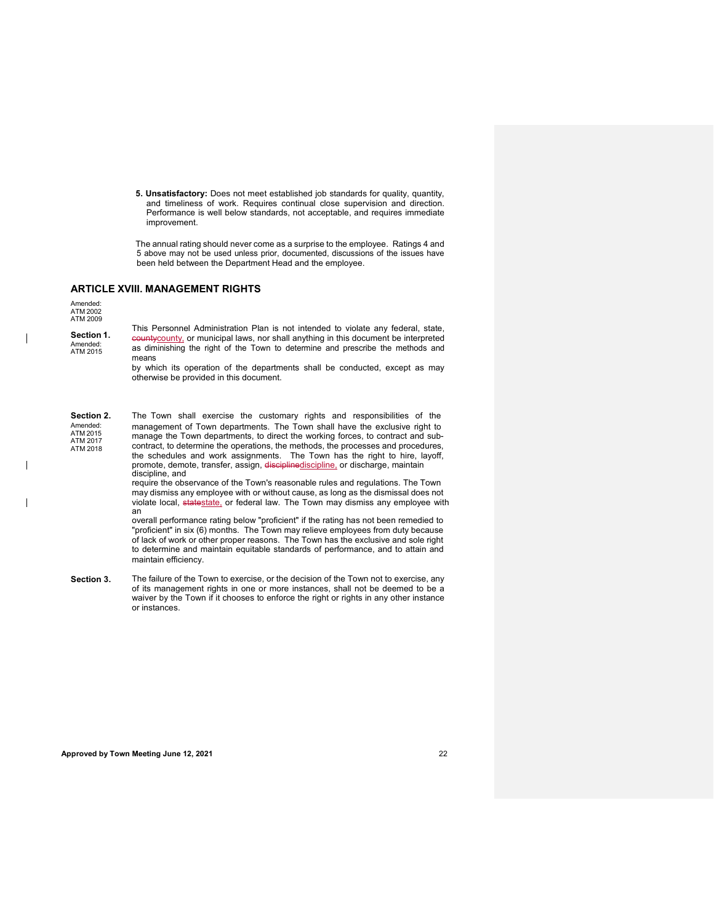**5. Unsatisfactory:** Does not meet established job standards for quality, quantity, and timeliness of work. Requires continual close supervision and direction. Performance is well below standards, not acceptable, and requires immediate improvement.

The annual rating should never come as a surprise to the employee. Ratings 4 and 5 above may not be used unless prior, documented, discussions of the issues have been held between the Department Head and the employee.

#### **ARTICLE XVIII. MANAGEMENT RIGHTS**

Amended: ATM 2002 ATM 2009

**Section 1.** Amended: ATM 2015

This Personnel Administration Plan is not intended to violate any federal, state, countycounty, or municipal laws, nor shall anything in this document be interpreted as diminishing the right of the Town to determine and prescribe the methods and means

by which its operation of the departments shall be conducted, except as may otherwise be provided in this document.

**Section 2.** The Town shall exercise the customary rights and responsibilities of the Amended: ATM 2015 ATM 2017 ATM 2018 management of Town departments. The Town shall have the exclusive right to manage the Town departments, to direct the working forces, to contract and subcontract, to determine the operations, the methods, the processes and procedures, the schedules and work assignments. The Town has the right to hire, layoff,<br>promote, demote, transfer, assign, <del>discipline<u>discipline,</u> or discharge, maintain</del> discipline, and

require the observance of the Town's reasonable rules and regulations. The Town may dismiss any employee with or without cause, as long as the dismissal does not violate local, statestate, or federal law. The Town may dismiss any employee with an

overall performance rating below "proficient" if the rating has not been remedied to "proficient" in six (6) months. The Town may relieve employees from duty because of lack of work or other proper reasons. The Town has the exclusive and sole right to determine and maintain equitable standards of performance, and to attain and maintain efficiency.

**Section 3.** The failure of the Town to exercise, or the decision of the Town not to exercise, any of its management rights in one or more instances, shall not be deemed to be a waiver by the Town if it chooses to enforce the right or rights in any other instance or instances.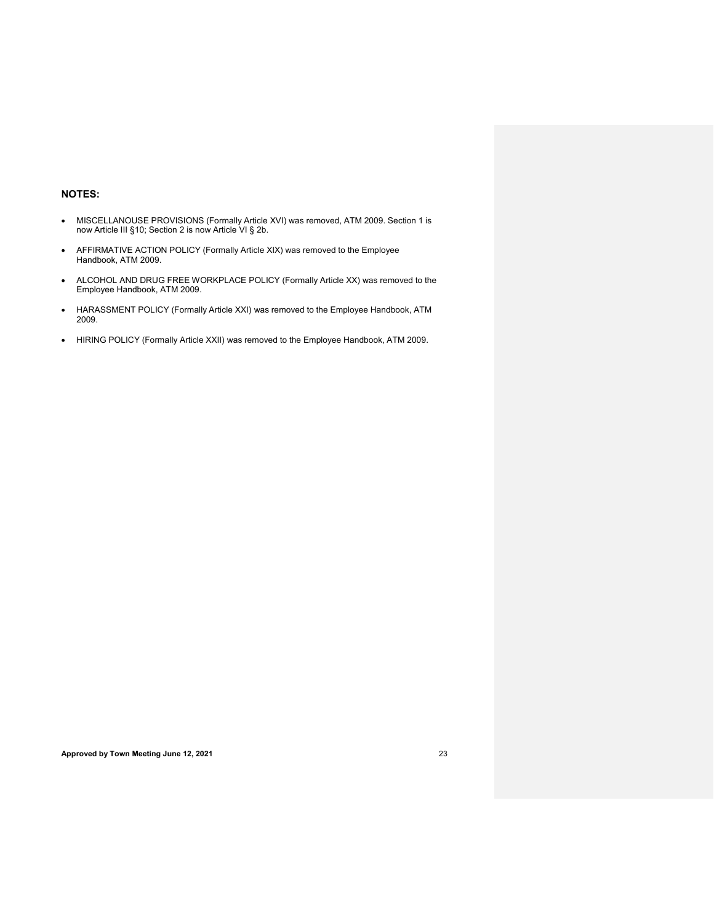### **NOTES:**

- MISCELLANOUSE PROVISIONS (Formally Article XVI) was removed, ATM 2009. Section 1 is now Article III §10; Section 2 is now Article VI § 2b.
- AFFIRMATIVE ACTION POLICY (Formally Article XIX) was removed to the Employee Handbook, ATM 2009.
- ALCOHOL AND DRUG FREE WORKPLACE POLICY (Formally Article XX) was removed to the Employee Handbook, ATM 2009.
- HARASSMENT POLICY (Formally Article XXI) was removed to the Employee Handbook, ATM 2009.
- HIRING POLICY (Formally Article XXII) was removed to the Employee Handbook, ATM 2009.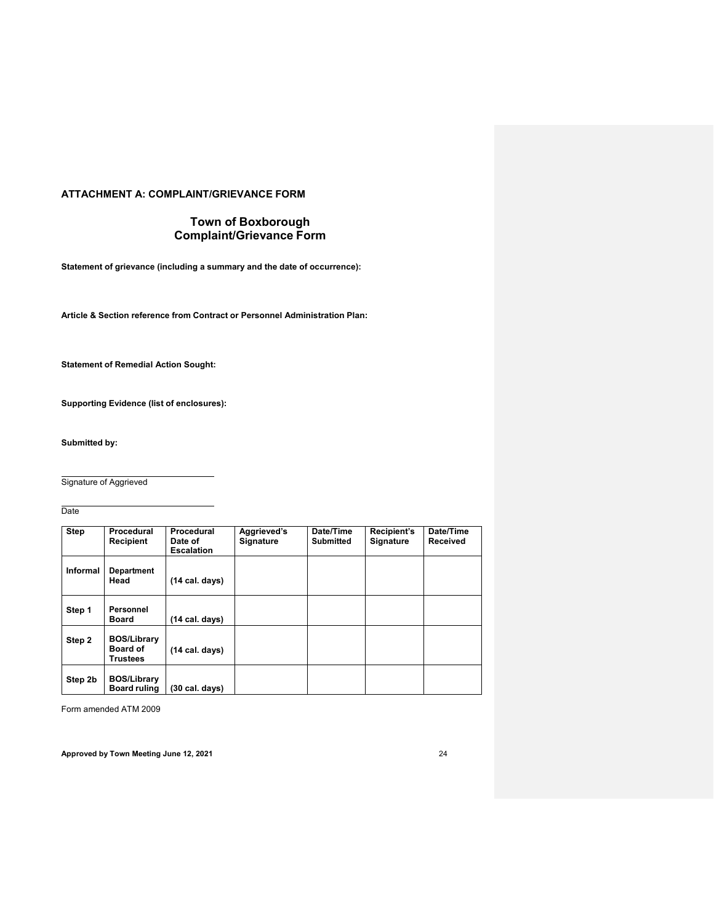### **ATTACHMENT A: COMPLAINT/GRIEVANCE FORM**

### **Town of Boxborough Complaint/Grievance Form**

**Statement of grievance (including a summary and the date of occurrence):**

**Article & Section reference from Contract or Personnel Administration Plan:**

**Statement of Remedial Action Sought:**

**Supporting Evidence (list of enclosures):**

**Submitted by:**

Signature of Aggrieved

Date

| <b>Step</b>     | <b>Procedural</b><br><b>Recipient</b>             | Procedural<br>Date of<br><b>Escalation</b> | Aggrieved's<br><b>Signature</b> | Date/Time<br><b>Submitted</b> | Recipient's<br><b>Signature</b> | Date/Time<br><b>Received</b> |
|-----------------|---------------------------------------------------|--------------------------------------------|---------------------------------|-------------------------------|---------------------------------|------------------------------|
| <b>Informal</b> | <b>Department</b><br>Head                         | $(14 \text{ cal. days})$                   |                                 |                               |                                 |                              |
| Step 1          | Personnel<br>Board                                | $(14 \text{ cal. days})$                   |                                 |                               |                                 |                              |
| Step 2          | <b>BOS/Library</b><br><b>Board of</b><br>Trustees | $(14 \text{ cal. days})$                   |                                 |                               |                                 |                              |
| Step 2b         | <b>BOS/Library</b><br><b>Board ruling</b>         | $(30 \text{ cal. days})$                   |                                 |                               |                                 |                              |

Form amended ATM 2009

**Approved by Town Meeting June 12, 2021** 24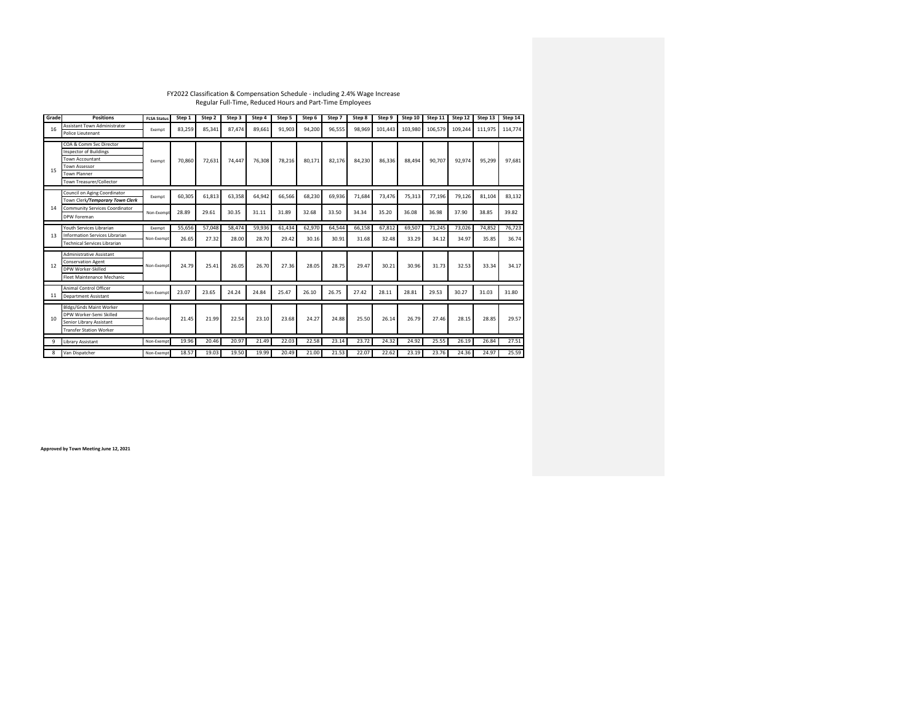### FY2022 Classification & Compensation Schedule - including 2.4% Wage Increase Regular Full-Time, Reduced Hours and Part-Time Employees

| Grade | <b>Positions</b>                                         | <b>FLSA Status</b> | Step 1 | Step 2 | Step 3 | Step 4 | Step 5 | Step 6 | Step 7 | Step 8 | Step 9  | Step 10 | Step 11 | Step 12 | Step 13 | Step 14 |
|-------|----------------------------------------------------------|--------------------|--------|--------|--------|--------|--------|--------|--------|--------|---------|---------|---------|---------|---------|---------|
| 16    | <b>Assistant Town Administrator</b><br>Police Lieutenant | Exempt             | 83,259 | 85,341 | 87.474 | 89,661 | 91,903 | 94,200 | 96,555 | 98,969 | 101,443 | 103,980 | 106,579 | 109,244 | 111,975 | 114.774 |
|       |                                                          |                    |        |        |        |        |        |        |        |        |         |         |         |         |         |         |
|       | COA & Comm Svc Director                                  |                    |        |        |        |        |        |        |        |        |         |         |         |         |         |         |
|       | <b>Inspector of Buildings</b>                            |                    |        |        |        |        |        |        |        |        |         |         |         |         |         |         |
|       | Town Accountant                                          | Exempt             | 70,860 | 72,631 | 74,447 | 76,308 | 78,216 | 80,171 | 82,176 | 84,230 | 86,336  | 88,494  | 90.707  | 92,974  | 95,299  | 97,681  |
| 15    | Town Assessor                                            |                    |        |        |        |        |        |        |        |        |         |         |         |         |         |         |
|       | <b>Town Planner</b>                                      |                    |        |        |        |        |        |        |        |        |         |         |         |         |         |         |
|       | Town Treasurer/Collector                                 |                    |        |        |        |        |        |        |        |        |         |         |         |         |         |         |
|       | Council on Aging Coordinator                             |                    |        |        |        |        |        |        |        |        |         |         |         |         |         |         |
|       | Town Clerk/Temporary Town Clerk                          | Exempt             | 60,305 | 61,813 | 63,358 | 64,942 | 66,566 | 68,230 | 69,936 | 71,684 | 73,476  | 75,313  | 77,196  | 79,126  | 81,104  | 83,132  |
| 14    | <b>Community Services Coordinator</b>                    |                    |        |        |        |        |        |        |        |        |         |         |         |         |         |         |
|       | DPW Foreman                                              | Non-Exempt         | 28.89  | 29.61  | 30.35  | 31.11  | 31.89  | 32.68  | 33.50  | 34.34  | 35.20   | 36.08   | 36.98   | 37.90   | 38.85   | 39.82   |
|       |                                                          |                    |        |        |        |        |        |        |        |        |         |         |         |         |         |         |
|       | Youth Services Librarian                                 | Exempt             | 55,656 | 57,048 | 58,474 | 59,936 | 61,434 | 62,970 | 64,544 | 66,158 | 67.812  | 69,507  | 71.245  | 73,026  | 74.852  | 76,723  |
| 13    | Information Services Librarian                           | Non-Exempt         | 26.65  | 27.32  | 28.00  | 28.70  | 29.42  | 30.16  | 30.91  | 31.68  | 32.48   | 33.29   | 34.12   | 34.97   | 35.85   | 36.74   |
|       | <b>Technical Services Librarian</b>                      |                    |        |        |        |        |        |        |        |        |         |         |         |         |         |         |
|       | <b>Administrative Assistant</b>                          |                    |        |        |        |        |        |        |        |        |         |         |         |         |         |         |
|       | <b>Conservation Agent</b>                                |                    |        |        |        |        |        |        |        |        |         |         |         |         |         |         |
| 12    | DPW Worker-Skilled                                       | Non-Exempt         | 24.79  | 25.41  | 26.05  | 26.70  | 27.36  | 28.05  | 28.75  | 29.47  | 30.21   | 30.96   | 31.73   | 32.53   | 33.34   | 34.17   |
|       | Fleet Maintenance Mechanic                               |                    |        |        |        |        |        |        |        |        |         |         |         |         |         |         |
|       |                                                          |                    |        |        |        |        |        |        |        |        |         |         |         |         |         |         |
|       | Animal Control Officer                                   | Non-Exempt         | 23.07  | 23.65  | 24.24  | 24.84  | 25.47  | 26.10  | 26.75  | 27.42  | 28.11   | 28.81   | 29.53   | 30.27   | 31.03   | 31.80   |
| 11    | <b>Department Assistant</b>                              |                    |        |        |        |        |        |        |        |        |         |         |         |         |         |         |
|       | <b>Bldgs/Gnds Maint Worker</b>                           |                    |        |        |        |        |        |        |        |        |         |         |         |         |         |         |
|       | DPW Worker-Semi Skilled                                  |                    |        |        |        |        |        |        |        |        |         |         |         |         |         |         |
| 10    | Senior Library Assistant                                 | Non-Exempt         | 21.45  | 21.99  | 22.54  | 23.10  | 23.68  | 24.27  | 24.88  | 25.50  | 26.14   | 26.79   | 27.46   | 28.15   | 28.85   | 29.57   |
|       | <b>Transfer Station Worker</b>                           |                    |        |        |        |        |        |        |        |        |         |         |         |         |         |         |
|       |                                                          |                    |        |        |        |        |        |        |        |        |         |         |         |         |         |         |
| 9     | Library Assistant                                        | Non-Exempt         | 19.96  | 20.46  | 20.97  | 21.49  | 22.03  | 22.58  | 23.14  | 23.72  | 24.32   | 24.92   | 25.55   | 26.19   | 26.84   | 27.51   |
| 8     | Van Dispatcher                                           | Non-Exempt         | 18.57  | 19.03  | 19.50  | 19.99  | 20.49  | 21.00  | 21.53  | 22.07  | 22.62   | 23.19   | 23.76   | 24.36   | 24.97   | 25.59   |

**Approved by Town Meeting June 12, 2021**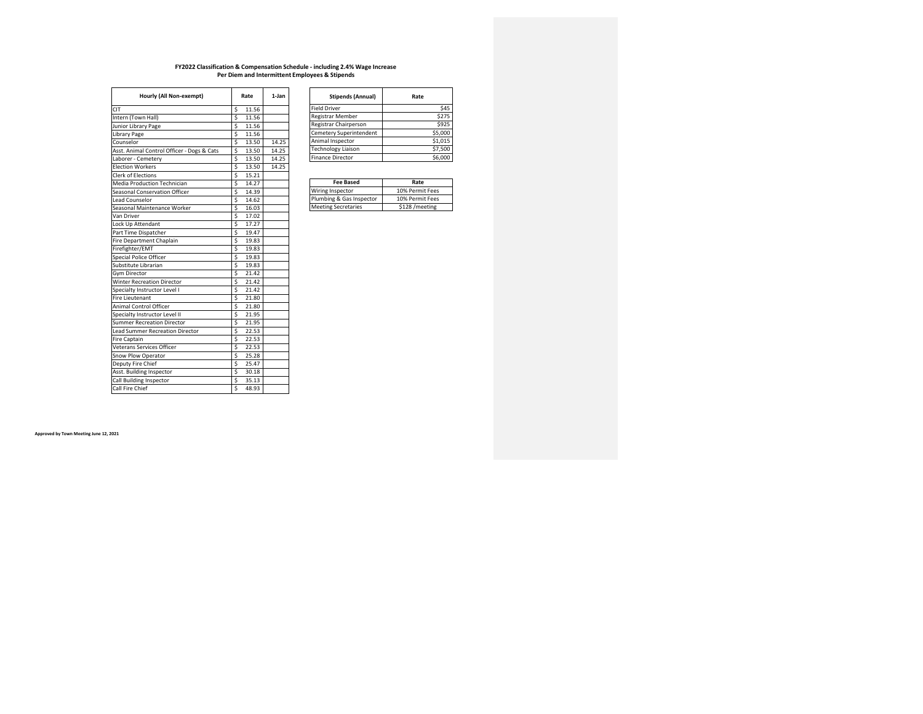**Approved by Town Meeting June 12, 2021**

## **FY2022 Classification & Compensation Schedule - including 2.4% Wage Increase Per Diem and Intermittent Employees & Stipends**

| Hourly (All Non-exempt)                    |                                     | Rate  | 1-Jan |
|--------------------------------------------|-------------------------------------|-------|-------|
| <b>CIT</b>                                 | \$                                  | 11.56 |       |
| Intern (Town Hall)                         | \$                                  | 11.56 |       |
| Junior Library Page                        | $\overline{\boldsymbol{\zeta}}$     | 11.56 |       |
| Library Page                               | \$                                  | 11.56 |       |
| Counselor                                  | \$                                  | 13.50 | 14.25 |
| Asst. Animal Control Officer - Dogs & Cats | \$                                  | 13.50 | 14.25 |
| Laborer - Cemetery                         | \$                                  | 13.50 | 14.25 |
| <b>Election Workers</b>                    | \$                                  | 13.50 | 14.25 |
| <b>Clerk of Elections</b>                  | \$                                  | 15.21 |       |
| <b>Media Production Technician</b>         | \$                                  | 14.27 |       |
| Seasonal Conservation Officer              | \$                                  | 14.39 |       |
| Lead Counselor                             | \$                                  | 14.62 |       |
| Seasonal Maintenance Worker                | \$                                  | 16.03 |       |
| Van Driver                                 | \$                                  | 17.02 |       |
| Lock Up Attendant                          | \$                                  | 17.27 |       |
| Part Time Dispatcher                       | \$                                  | 19.47 |       |
| Fire Department Chaplain                   | \$                                  | 19.83 |       |
| Firefighter/EMT                            | \$                                  | 19.83 |       |
| Special Police Officer                     | \$                                  | 19.83 |       |
| Substitute Librarian                       | \$                                  | 19.83 |       |
| Gym Director                               | \$                                  | 21.42 |       |
| <b>Winter Recreation Director</b>          | $\overline{\boldsymbol{\varsigma}}$ | 21.42 |       |
| Specialty Instructor Level I               | \$                                  | 21.42 |       |
| <b>Fire Lieutenant</b>                     | \$                                  | 21.80 |       |
| <b>Animal Control Officer</b>              | \$                                  | 21.80 |       |
| Specialty Instructor Level II              | $\overline{\boldsymbol{\varsigma}}$ | 21.95 |       |
| <b>Summer Recreation Director</b>          | $\overline{\boldsymbol{\varsigma}}$ | 21.95 |       |
| <b>Lead Summer Recreation Director</b>     | $\overline{\boldsymbol{\varsigma}}$ | 22.53 |       |
| <b>Fire Captain</b>                        | \$                                  | 22.53 |       |
| Veterans Services Officer                  | $\overline{\boldsymbol{\varsigma}}$ | 22.53 |       |
| Snow Plow Operator                         | $\overline{\boldsymbol{\varsigma}}$ | 25.28 |       |
| Deputy Fire Chief                          |                                     | 25.47 |       |
| Asst. Building Inspector                   | $\frac{1}{2}$                       | 30.18 |       |
| Call Building Inspector                    |                                     | 35.13 |       |
| Call Fire Chief                            | $\overline{\mathsf{s}}$             | 48.93 |       |
|                                            |                                     |       |       |

| <b>Stipends (Annual)</b>  | Rate    |
|---------------------------|---------|
| <b>Field Driver</b>       | \$45    |
| <b>Registrar Member</b>   | \$275   |
| Registrar Chairperson     | \$925   |
| Cemetery Superintendent   | \$5,000 |
| Animal Inspector          | \$1,015 |
| <b>Technology Liaison</b> | \$7,500 |
| <b>Finance Director</b>   |         |

| Rate            |
|-----------------|
| 10% Permit Fees |
| 10% Permit Fees |
| \$128 / meeting |
|                 |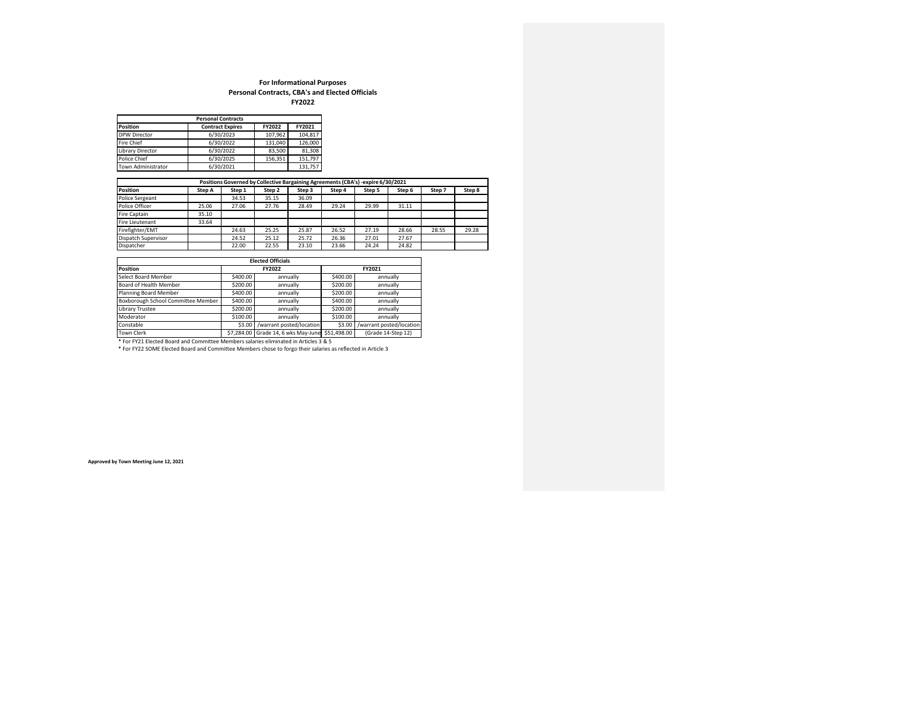### **For Informational Purposes Personal Contracts, CBA's and Elected Officials FY2022**

| <b>Personal Contracts</b> |                         |         |         |  |  |  |  |
|---------------------------|-------------------------|---------|---------|--|--|--|--|
| <b>Position</b>           | <b>Contract Expires</b> | FY2022  | FY2021  |  |  |  |  |
| <b>DPW Director</b>       | 6/30/2023               | 107,962 | 104.817 |  |  |  |  |
| <b>Fire Chief</b>         | 6/30/2022               | 131,040 | 126,000 |  |  |  |  |
| <b>Library Director</b>   | 6/30/2022               | 83,500  | 81,308  |  |  |  |  |
| Police Chief              | 6/30/2025               | 156,351 | 151,797 |  |  |  |  |
| <b>Town Administrator</b> | 6/30/2021               |         | 131,757 |  |  |  |  |

| Positions Governed by Collective Bargaining Agreements (CBA's) -expire 6/30/2021 |        |        |        |        |        |        |        |        |        |
|----------------------------------------------------------------------------------|--------|--------|--------|--------|--------|--------|--------|--------|--------|
| Position                                                                         | Step A | Step 1 | Step 2 | Step 3 | Step 4 | Step 5 | Step 6 | Step 7 | Step 8 |
| <b>Police Sergeant</b>                                                           |        | 34.53  | 35.15  | 36.09  |        |        |        |        |        |
| Police Officer                                                                   | 25.06  | 27.06  | 27.76  | 28.49  | 29.24  | 29.99  | 31.11  |        |        |
| Fire Captain                                                                     | 35.10  |        |        |        |        |        |        |        |        |
| Fire Lieutenant                                                                  | 33.64  |        |        |        |        |        |        |        |        |
| Firefighter/EMT                                                                  |        | 24.63  | 25.25  | 25.87  | 26.52  | 27.19  | 28.66  | 28.55  | 29.28  |
| Dispatch Supervisor                                                              |        | 24.52  | 25.12  | 25.72  | 26.36  | 27.01  | 27.67  |        |        |
| Dispatcher                                                                       |        | 22.00  | 22.55  | 23.10  | 23.66  | 24.24  | 24.82  |        |        |

| <b>Elected Officials</b>           |          |                                     |             |                          |  |  |  |  |
|------------------------------------|----------|-------------------------------------|-------------|--------------------------|--|--|--|--|
| <b>Position</b>                    |          | <b>FY2022</b>                       | FY2021      |                          |  |  |  |  |
| Select Board Member                | \$400.00 | annually                            | \$400.00    | annually                 |  |  |  |  |
| Board of Health Member             | \$200.00 | annually                            | \$200.00    | annually                 |  |  |  |  |
| Planning Board Member              | \$400.00 | annually                            | \$200.00    | annually                 |  |  |  |  |
| Boxborough School Committee Member | \$400.00 | annually                            | \$400.00    | annually                 |  |  |  |  |
| Library Trustee                    | \$200.00 | annually                            | \$200.00    | annually                 |  |  |  |  |
| Moderator                          | \$100.00 | annually                            | \$100.00    | annually                 |  |  |  |  |
| Constable                          | \$3.00   | /warrant posted/location            | \$3.00      | /warrant posted/location |  |  |  |  |
| <b>Town Clerk</b>                  |          | \$7,284.00 Grade 14, 6 wks May-June | \$51,498.00 | (Grade 14-Step 12)       |  |  |  |  |

\* For FY21 Elected Board and Committee Members salaries eliminated in Articles 3 & 5

\* For FY22 SOME Elected Board and Committee Members chose to forgo their salaries as reflected in Article 3

**Approved by Town Meeting June 12, 2021**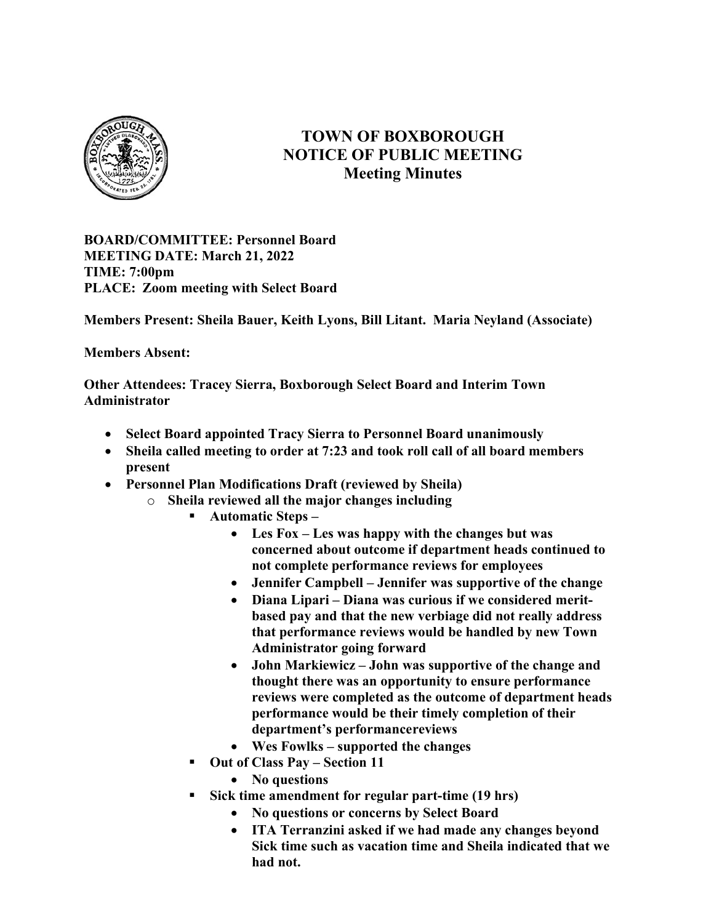

## TOWN OF BOXBOROUGH NOTICE OF PUBLIC MEETING Meeting Minutes

BOARD/COMMITTEE: Personnel Board MEETING DATE: March 21, 2022 TIME: 7:00pm PLACE: Zoom meeting with Select Board

Members Present: Sheila Bauer, Keith Lyons, Bill Litant. Maria Neyland (Associate)

## Members Absent:

Other Attendees: Tracey Sierra, Boxborough Select Board and Interim Town Administrator

- Select Board appointed Tracy Sierra to Personnel Board unanimously
- Sheila called meeting to order at 7:23 and took roll call of all board members present
- Personnel Plan Modifications Draft (reviewed by Sheila)
	- o Sheila reviewed all the major changes including
		- Automatic Steps
			- Les Fox Les was happy with the changes but was concerned about outcome if department heads continued to not complete performance reviews for employees
			- Jennifer Campbell Jennifer was supportive of the change
			- Diana Lipari Diana was curious if we considered meritbased pay and that the new verbiage did not really address that performance reviews would be handled by new Town Administrator going forward
			- John Markiewicz John was supportive of the change and thought there was an opportunity to ensure performance reviews were completed as the outcome of department heads performance would be their timely completion of their department's performance reviews
			- Wes Fowlks supported the changes
		- Out of Class Pay Section 11
			- No questions
		- Sick time amendment for regular part-time (19 hrs)
			- No questions or concerns by Select Board
			- ITA Terranzini asked if we had made any changes beyond Sick time such as vacation time and Sheila indicated that we had not.